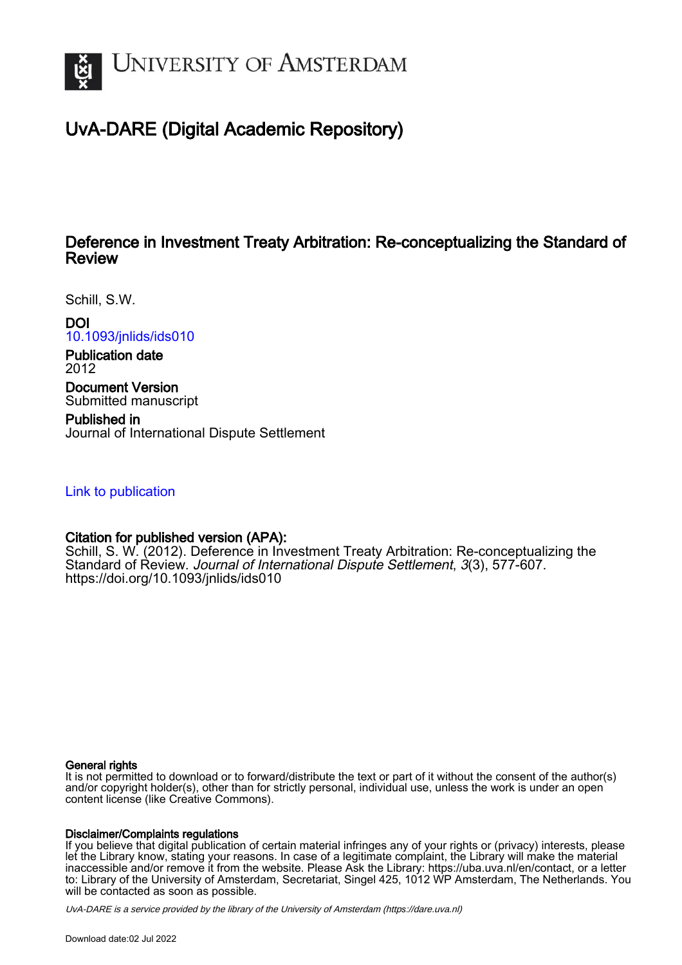

# UvA-DARE (Digital Academic Repository)

## Deference in Investment Treaty Arbitration: Re-conceptualizing the Standard of Review

Schill, S.W.

DOI

[10.1093/jnlids/ids010](https://doi.org/10.1093/jnlids/ids010)

Publication date 2012

Document Version Submitted manuscript

Published in Journal of International Dispute Settlement

### [Link to publication](https://dare.uva.nl/personal/pure/en/publications/deference-in-investment-treaty-arbitration-reconceptualizing-the-standard-of-review(20cb3a4d-26c9-4076-8c1a-1ed2607dc6e9).html)

## Citation for published version (APA):

Schill, S. W. (2012). Deference in Investment Treaty Arbitration: Re-conceptualizing the Standard of Review. Journal of International Dispute Settlement, 3(3), 577-607. <https://doi.org/10.1093/jnlids/ids010>

#### General rights

It is not permitted to download or to forward/distribute the text or part of it without the consent of the author(s) and/or copyright holder(s), other than for strictly personal, individual use, unless the work is under an open content license (like Creative Commons).

#### Disclaimer/Complaints regulations

If you believe that digital publication of certain material infringes any of your rights or (privacy) interests, please let the Library know, stating your reasons. In case of a legitimate complaint, the Library will make the material inaccessible and/or remove it from the website. Please Ask the Library: https://uba.uva.nl/en/contact, or a letter to: Library of the University of Amsterdam, Secretariat, Singel 425, 1012 WP Amsterdam, The Netherlands. You will be contacted as soon as possible.

UvA-DARE is a service provided by the library of the University of Amsterdam (http*s*://dare.uva.nl)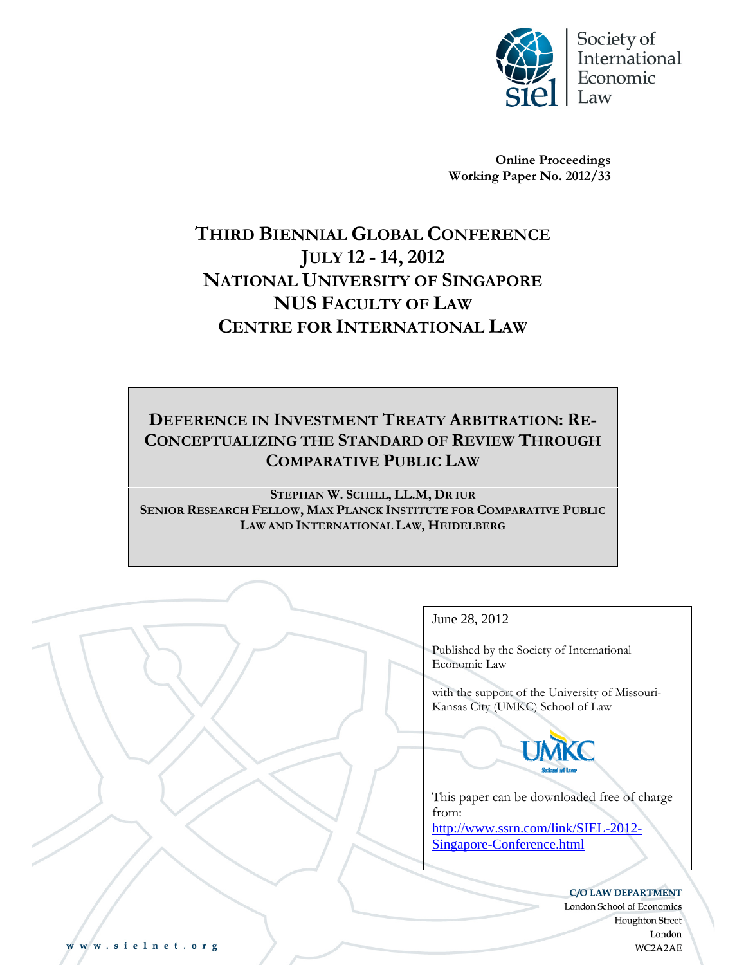

**Online Proceedings Working Paper No. 2012/33** 

# **THIRD BIENNIAL GLOBAL CONFERENCE JULY 12 - 14, 2012 NATIONAL UNIVERSITY OF SINGAPORE NUS FACULTY OF LAW CENTRE FOR INTERNATIONAL LAW**

## **DEFERENCE IN INVESTMENT TREATY ARBITRATION: RE-CONCEPTUALIZING THE STANDARD OF REVIEW THROUGH COMPARATIVE PUBLIC LAW**

**STEPHAN W. SCHILL, LL.M, DR IUR SENIOR RESEARCH FELLOW, MAX PLANCK INSTITUTE FOR COMPARATIVE PUBLIC LAW AND INTERNATIONAL LAW, HEIDELBERG**

Electronic copy available at: http://ssrn.com/abstract=2095334

## June 28, 2012

Published by the Society of International Economic Law

with the support of the University of Missouri-Kansas City (UMKC) School of Law



This paper can be downloaded free of charge from:

http://www.ssrn.com/link/SIEL-2012- Singapore-Conference.html

#### **C/O LAW DEPARTMENT**

London School of Economics **Houghton Street** London WC2A2AE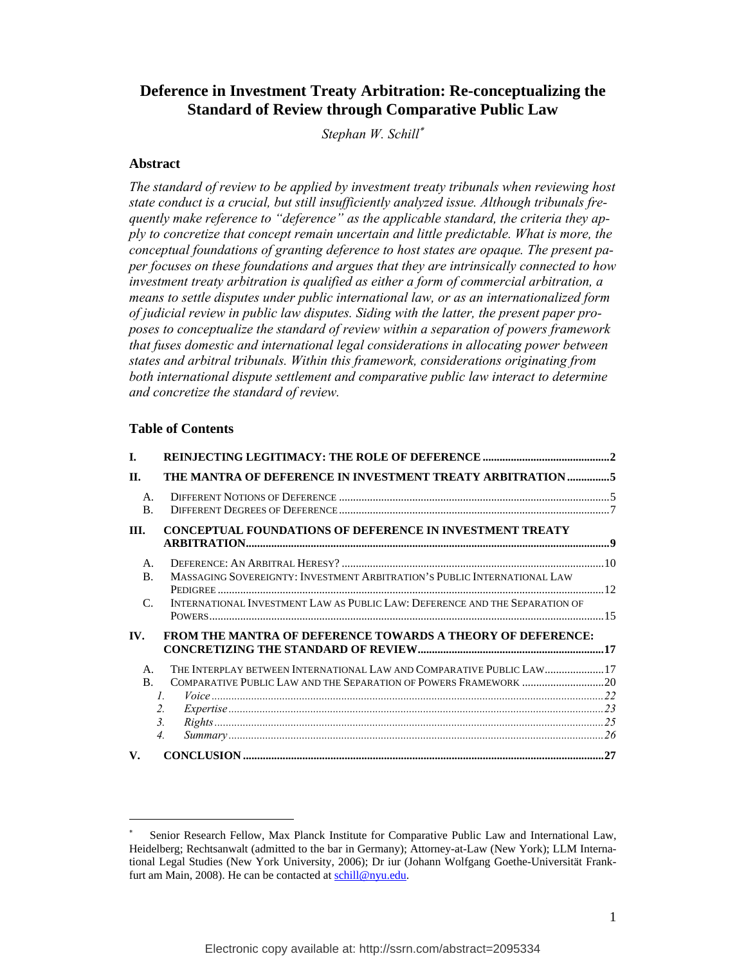## **Deference in Investment Treaty Arbitration: Re-conceptualizing the Standard of Review through Comparative Public Law**

*Stephan W. Schill*

#### **Abstract**

*The standard of review to be applied by investment treaty tribunals when reviewing host state conduct is a crucial, but still insufficiently analyzed issue. Although tribunals frequently make reference to "deference" as the applicable standard, the criteria they apply to concretize that concept remain uncertain and little predictable. What is more, the conceptual foundations of granting deference to host states are opaque. The present paper focuses on these foundations and argues that they are intrinsically connected to how investment treaty arbitration is qualified as either a form of commercial arbitration, a means to settle disputes under public international law, or as an internationalized form of judicial review in public law disputes. Siding with the latter, the present paper proposes to conceptualize the standard of review within a separation of powers framework that fuses domestic and international legal considerations in allocating power between states and arbitral tribunals. Within this framework, considerations originating from both international dispute settlement and comparative public law interact to determine and concretize the standard of review.*

#### **Table of Contents**

| L.                               |                                                                                                                                                                                              |  |
|----------------------------------|----------------------------------------------------------------------------------------------------------------------------------------------------------------------------------------------|--|
| II.                              | THE MANTRA OF DEFERENCE IN INVESTMENT TREATY ARBITRATION5                                                                                                                                    |  |
| A.<br>$\bf{B}$ .                 |                                                                                                                                                                                              |  |
| III.                             | <b>CONCEPTUAL FOUNDATIONS OF DEFERENCE IN INVESTMENT TREATY</b>                                                                                                                              |  |
| $\mathbf{A}$ .<br>$\mathbf{B}$ . | MASSAGING SOVEREIGNTY: INVESTMENT ARBITRATION'S PUBLIC INTERNATIONAL LAW                                                                                                                     |  |
| $\mathcal{C}$                    | INTERNATIONAL INVESTMENT LAW AS PUBLIC LAW: DEFERENCE AND THE SEPARATION OF                                                                                                                  |  |
| IV.                              | <b>FROM THE MANTRA OF DEFERENCE TOWARDS A THEORY OF DEFERENCE:</b>                                                                                                                           |  |
| A.<br>B.                         | THE INTERPLAY BETWEEN INTERNATIONAL LAW AND COMPARATIVE PUBLIC LAW 17<br>COMPARATIVE PUBLIC LAW AND THE SEPARATION OF POWERS FRAMEWORK 20<br>$\mathcal{I}$ .<br>2.<br>3.<br>$\overline{4}$ . |  |
| V.                               |                                                                                                                                                                                              |  |

<sup>\*</sup>  Senior Research Fellow, Max Planck Institute for Comparative Public Law and International Law, Heidelberg; Rechtsanwalt (admitted to the bar in Germany); Attorney-at-Law (New York); LLM International Legal Studies (New York University, 2006); Dr iur (Johann Wolfgang Goethe-Universität Frankfurt am Main, 2008). He can be contacted at schill@nyu.edu.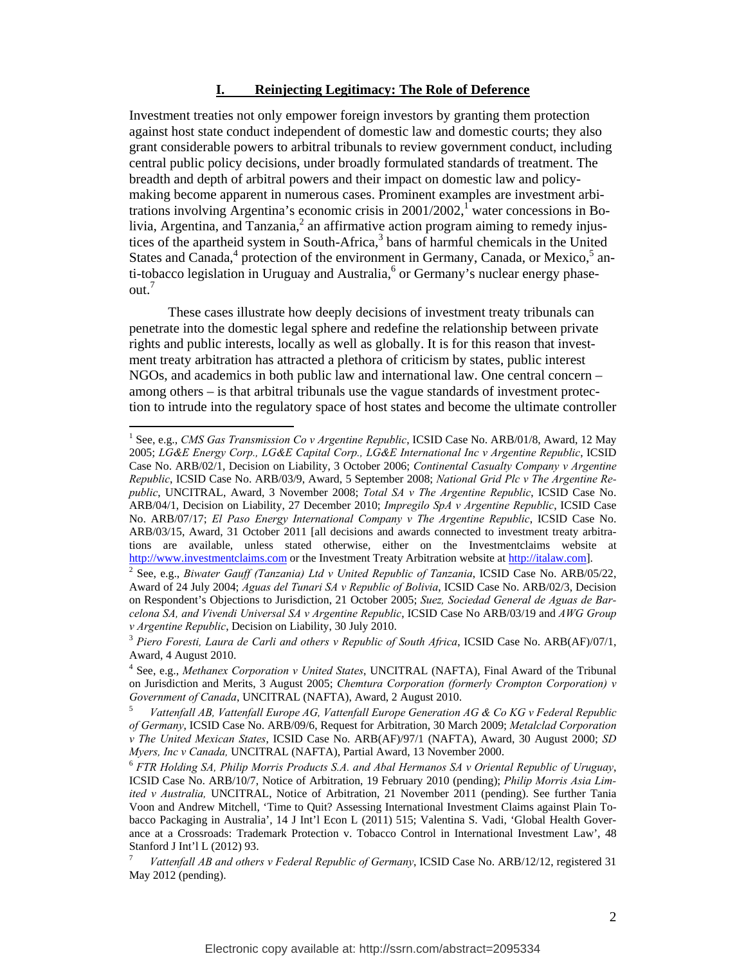#### **I. Reinjecting Legitimacy: The Role of Deference**

Investment treaties not only empower foreign investors by granting them protection against host state conduct independent of domestic law and domestic courts; they also grant considerable powers to arbitral tribunals to review government conduct, including central public policy decisions, under broadly formulated standards of treatment. The breadth and depth of arbitral powers and their impact on domestic law and policymaking become apparent in numerous cases. Prominent examples are investment arbitrations involving Argentina's economic crisis in  $2001/2002$ ,<sup>1</sup> water concessions in Bolivia, Argentina, and Tanzania,<sup>2</sup> an affirmative action program aiming to remedy injustices of the apartheid system in South-Africa,<sup>3</sup> bans of harmful chemicals in the United States and Canada,<sup>4</sup> protection of the environment in Germany, Canada, or Mexico,<sup>5</sup> anti-tobacco legislation in Uruguay and Australia,<sup>6</sup> or Germany's nuclear energy phaseout.<sup>7</sup>

These cases illustrate how deeply decisions of investment treaty tribunals can penetrate into the domestic legal sphere and redefine the relationship between private rights and public interests, locally as well as globally. It is for this reason that investment treaty arbitration has attracted a plethora of criticism by states, public interest NGOs, and academics in both public law and international law. One central concern – among others – is that arbitral tribunals use the vague standards of investment protection to intrude into the regulatory space of host states and become the ultimate controller

<sup>&</sup>lt;sup>1</sup> See, e.g., *CMS Gas Transmission Co v Argentine Republic*, ICSID Case No. ARB/01/8, Award, 12 May 2005; *LG&E Energy Corp., LG&E Capital Corp., LG&E International Inc v Argentine Republic*, ICSID Case No. ARB/02/1, Decision on Liability, 3 October 2006; *Continental Casualty Company v Argentine Republic*, ICSID Case No. ARB/03/9, Award, 5 September 2008; *National Grid Plc v The Argentine Republic*, UNCITRAL, Award, 3 November 2008; *Total SA v The Argentine Republic*, ICSID Case No. ARB/04/1, Decision on Liability, 27 December 2010; *Impregilo SpA v Argentine Republic*, ICSID Case No. ARB/07/17; *El Paso Energy International Company v The Argentine Republic*, ICSID Case No. ARB/03/15, Award, 31 October 2011 [all decisions and awards connected to investment treaty arbitrations are available, unless stated otherwise, either on the Investmentclaims website at http://www.investmentclaims.com or the Investment Treaty Arbitration website at http://italaw.com].

<sup>&</sup>lt;sup>2</sup> See, e.g., *Biwater Gauff (Tanzania) Ltd v United Republic of Tanzania*, ICSID Case No. ARB/05/22, Award of 24 July 2004; *Aguas del Tunari SA v Republic of Bolivia*, ICSID Case No. ARB/02/3, Decision on Respondent's Objections to Jurisdiction, 21 October 2005; *Suez, Sociedad General de Aguas de Barcelona SA, and Vivendi Universal SA v Argentine Republic*, ICSID Case No ARB/03/19 and *AWG Group v Argentine Republic*, Decision on Liability, 30 July 2010.<br><sup>3</sup> *Piero Foresti, Laura de Carli and others v Republic of South Africa*, ICSID Case No. ARB(AF)/07/1,

Award, 4 August 2010.

<sup>4</sup> See, e.g., *Methanex Corporation v United States*, UNCITRAL (NAFTA), Final Award of the Tribunal on Jurisdiction and Merits, 3 August 2005; *Chemtura Corporation (formerly Crompton Corporation) v Government of Canada*, UNCITRAL (NAFTA), Award, 2 August 2010.

*Vattenfall AB, Vattenfall Europe AG, Vattenfall Europe Generation AG & Co KG v Federal Republic of Germany*, ICSID Case No. ARB/09/6, Request for Arbitration, 30 March 2009; *Metalclad Corporation v The United Mexican States*, ICSID Case No. ARB(AF)/97/1 (NAFTA), Award, 30 August 2000; *SD* 

<sup>&</sup>lt;sup>6</sup> FTR Holding SA, Philip Morris Products S.A. and Abal Hermanos SA v Oriental Republic of Uruguay, ICSID Case No. ARB/10/7, Notice of Arbitration, 19 February 2010 (pending); *Philip Morris Asia Limited v Australia,* UNCITRAL, Notice of Arbitration, 21 November 2011 (pending). See further Tania Voon and Andrew Mitchell, 'Time to Quit? Assessing International Investment Claims against Plain Tobacco Packaging in Australia', 14 J Int'l Econ L (2011) 515; Valentina S. Vadi, 'Global Health Goverance at a Crossroads: Trademark Protection v. Tobacco Control in International Investment Law', 48 Stanford J Int'l L (2012) 93.

<sup>7</sup> *Vattenfall AB and others v Federal Republic of Germany*, ICSID Case No. ARB/12/12, registered 31 May 2012 (pending).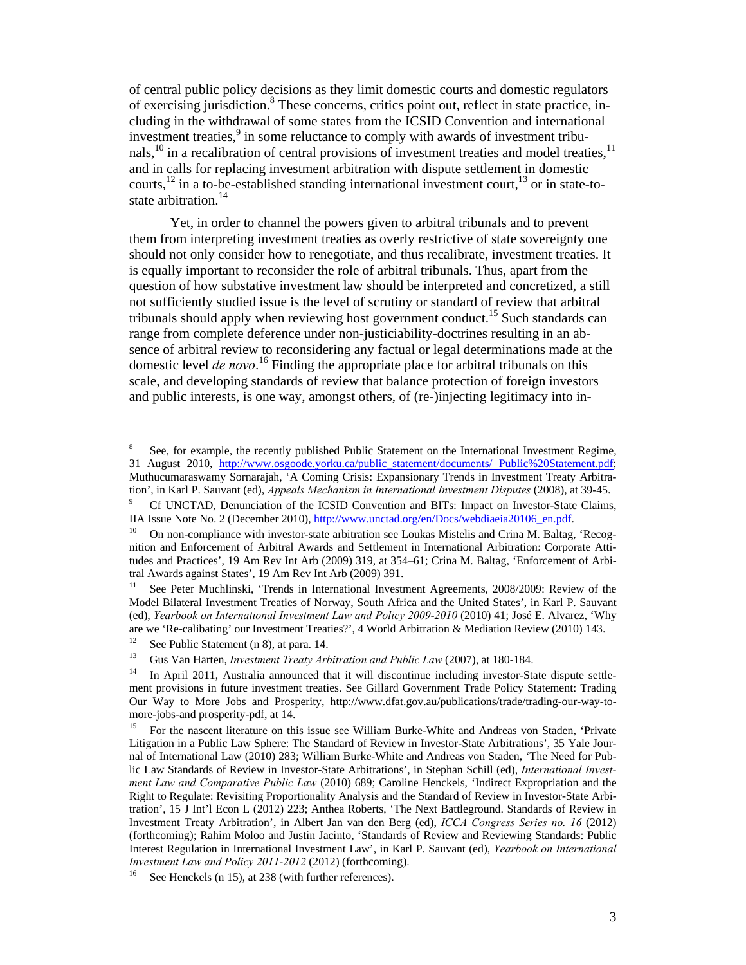of central public policy decisions as they limit domestic courts and domestic regulators of exercising jurisdiction.<sup>8</sup> These concerns, critics point out, reflect in state practice, including in the withdrawal of some states from the ICSID Convention and international investment treaties,<sup>9</sup> in some reluctance to comply with awards of investment tribunals,<sup>10</sup> in a recalibration of central provisions of investment treaties and model treaties,<sup>11</sup> and in calls for replacing investment arbitration with dispute settlement in domestic courts,<sup>12</sup> in a to-be-established standing international investment court,<sup>13</sup> or in state-tostate arbitration.<sup>14</sup>

Yet, in order to channel the powers given to arbitral tribunals and to prevent them from interpreting investment treaties as overly restrictive of state sovereignty one should not only consider how to renegotiate, and thus recalibrate, investment treaties. It is equally important to reconsider the role of arbitral tribunals. Thus, apart from the question of how substative investment law should be interpreted and concretized, a still not sufficiently studied issue is the level of scrutiny or standard of review that arbitral tribunals should apply when reviewing host government conduct.<sup>15</sup> Such standards can range from complete deference under non-justiciability-doctrines resulting in an absence of arbitral review to reconsidering any factual or legal determinations made at the domestic level *de novo*. 16 Finding the appropriate place for arbitral tribunals on this scale, and developing standards of review that balance protection of foreign investors and public interests, is one way, amongst others, of (re-)injecting legitimacy into in-

<sup>8</sup> See, for example, the recently published Public Statement on the International Investment Regime, 31 August 2010, http://www.osgoode.yorku.ca/public\_statement/documents/ Public%20Statement.pdf; Muthucumaraswamy Sornarajah, 'A Coming Crisis: Expansionary Trends in Investment Treaty Arbitration', in Karl P. Sauvant (ed), *Appeals Mechanism in International Investment Disputes* (2008), at 39-45.<br><sup>9</sup> Cf UNCTAD, Dopunsition of the ICSID Convention and PITs: Impact on Investor State Claims

<sup>&</sup>lt;sup>9</sup> Cf UNCTAD, Denunciation of the ICSID Convention and BITs: Impact on Investor-State Claims, IIA Issue Note No. 2 (December 2010),  $\frac{http://www.unctad.org/en/Docs/webdiaeia20106_en.pdf}{http://www.unctad.org/en/Docs/webdiaeia20106_en.pdf}.$ 

 $10$  On non-compliance with investor-state arbitration see Loukas Mistelis and Crina M. Baltag, 'Recognition and Enforcement of Arbitral Awards and Settlement in International Arbitration: Corporate Attitudes and Practices', 19 Am Rev Int Arb (2009) 319, at 354–61; Crina M. Baltag, 'Enforcement of Arbitral Awards against States', 19 Am Rev Int Arb (2009) 391.

<sup>&</sup>lt;sup>11</sup> See Peter Muchlinski, 'Trends in International Investment Agreements, 2008/2009: Review of the Model Bilateral Investment Treaties of Norway, South Africa and the United States', in Karl P. Sauvant (ed), *Yearbook on International Investment Law and Policy 2009-2010* (2010) 41; José E. Alvarez, 'Why are we 'Re-calibating' our Investment Treaties?', 4 World Arbitration & Mediation Review (2010) 143.

<sup>&</sup>lt;sup>12</sup> See Public Statement (n 8), at para. 14.<br><sup>13</sup> Gue Ven Herten, *Investment Treaty Ark* 

<sup>&</sup>lt;sup>13</sup> Gus Van Harten, *Investment Treaty Arbitration and Public Law* (2007), at 180-184.<br><sup>14</sup> In April 2011, Australia announced that it will discontinue including investor-State dispute settlement provisions in future investment treaties. See Gillard Government Trade Policy Statement: Trading Our Way to More Jobs and Prosperity, http://www.dfat.gov.au/publications/trade/trading-our-way-tomore-jobs-and prosperity-pdf, at 14.

<sup>&</sup>lt;sup>15</sup> For the nascent literature on this issue see William Burke-White and Andreas von Staden, 'Private Litigation in a Public Law Sphere: The Standard of Review in Investor-State Arbitrations', 35 Yale Journal of International Law (2010) 283; William Burke-White and Andreas von Staden, 'The Need for Public Law Standards of Review in Investor-State Arbitrations', in Stephan Schill (ed), *International Investment Law and Comparative Public Law* (2010) 689; Caroline Henckels, 'Indirect Expropriation and the Right to Regulate: Revisiting Proportionality Analysis and the Standard of Review in Investor-State Arbitration', 15 J Int'l Econ L (2012) 223; Anthea Roberts, 'The Next Battleground. Standards of Review in Investment Treaty Arbitration', in Albert Jan van den Berg (ed), *ICCA Congress Series no. 16* (2012) (forthcoming); Rahim Moloo and Justin Jacinto, 'Standards of Review and Reviewing Standards: Public Interest Regulation in International Investment Law', in Karl P. Sauvant (ed), *Yearbook on International Investment Law and Policy 2011-2012* (2012) (forthcoming).<br><sup>16</sup> See Henckels (n 15), at 238 (with further references).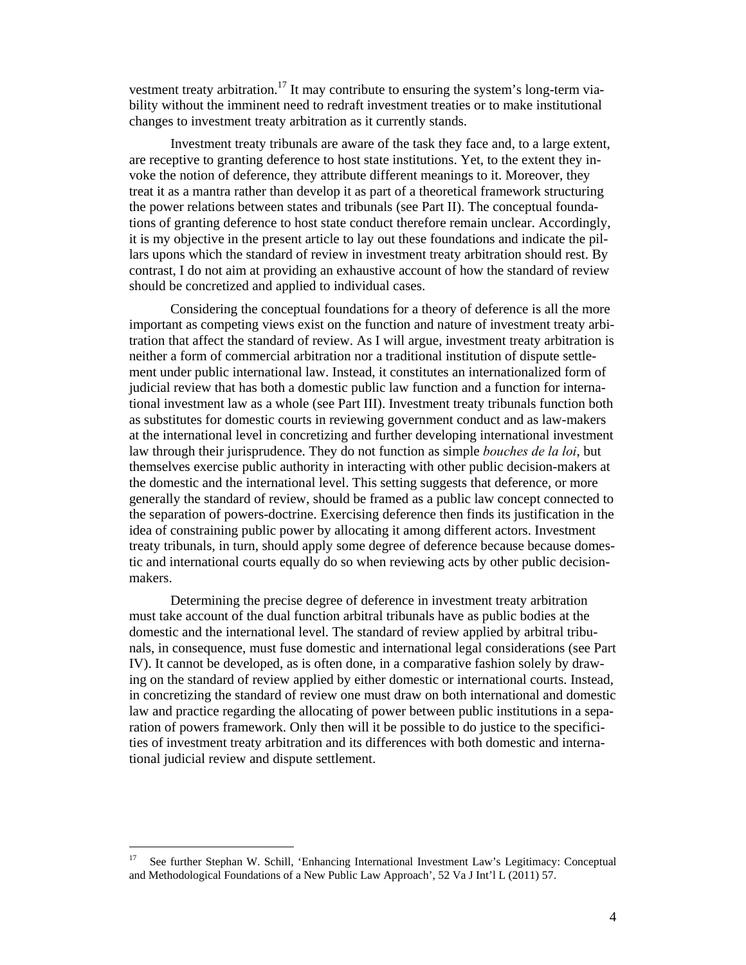vestment treaty arbitration.<sup>17</sup> It may contribute to ensuring the system's long-term viability without the imminent need to redraft investment treaties or to make institutional changes to investment treaty arbitration as it currently stands.

Investment treaty tribunals are aware of the task they face and, to a large extent, are receptive to granting deference to host state institutions. Yet, to the extent they invoke the notion of deference, they attribute different meanings to it. Moreover, they treat it as a mantra rather than develop it as part of a theoretical framework structuring the power relations between states and tribunals (see Part II). The conceptual foundations of granting deference to host state conduct therefore remain unclear. Accordingly, it is my objective in the present article to lay out these foundations and indicate the pillars upons which the standard of review in investment treaty arbitration should rest. By contrast, I do not aim at providing an exhaustive account of how the standard of review should be concretized and applied to individual cases.

Considering the conceptual foundations for a theory of deference is all the more important as competing views exist on the function and nature of investment treaty arbitration that affect the standard of review. As I will argue, investment treaty arbitration is neither a form of commercial arbitration nor a traditional institution of dispute settlement under public international law. Instead, it constitutes an internationalized form of judicial review that has both a domestic public law function and a function for international investment law as a whole (see Part III). Investment treaty tribunals function both as substitutes for domestic courts in reviewing government conduct and as law-makers at the international level in concretizing and further developing international investment law through their jurisprudence. They do not function as simple *bouches de la loi*, but themselves exercise public authority in interacting with other public decision-makers at the domestic and the international level. This setting suggests that deference, or more generally the standard of review, should be framed as a public law concept connected to the separation of powers-doctrine. Exercising deference then finds its justification in the idea of constraining public power by allocating it among different actors. Investment treaty tribunals, in turn, should apply some degree of deference because because domestic and international courts equally do so when reviewing acts by other public decisionmakers.

Determining the precise degree of deference in investment treaty arbitration must take account of the dual function arbitral tribunals have as public bodies at the domestic and the international level. The standard of review applied by arbitral tribunals, in consequence, must fuse domestic and international legal considerations (see Part IV). It cannot be developed, as is often done, in a comparative fashion solely by drawing on the standard of review applied by either domestic or international courts. Instead, in concretizing the standard of review one must draw on both international and domestic law and practice regarding the allocating of power between public institutions in a separation of powers framework. Only then will it be possible to do justice to the specificities of investment treaty arbitration and its differences with both domestic and international judicial review and dispute settlement.

<sup>17</sup> See further Stephan W. Schill, 'Enhancing International Investment Law's Legitimacy: Conceptual and Methodological Foundations of a New Public Law Approach', 52 Va J Int'l L (2011) 57.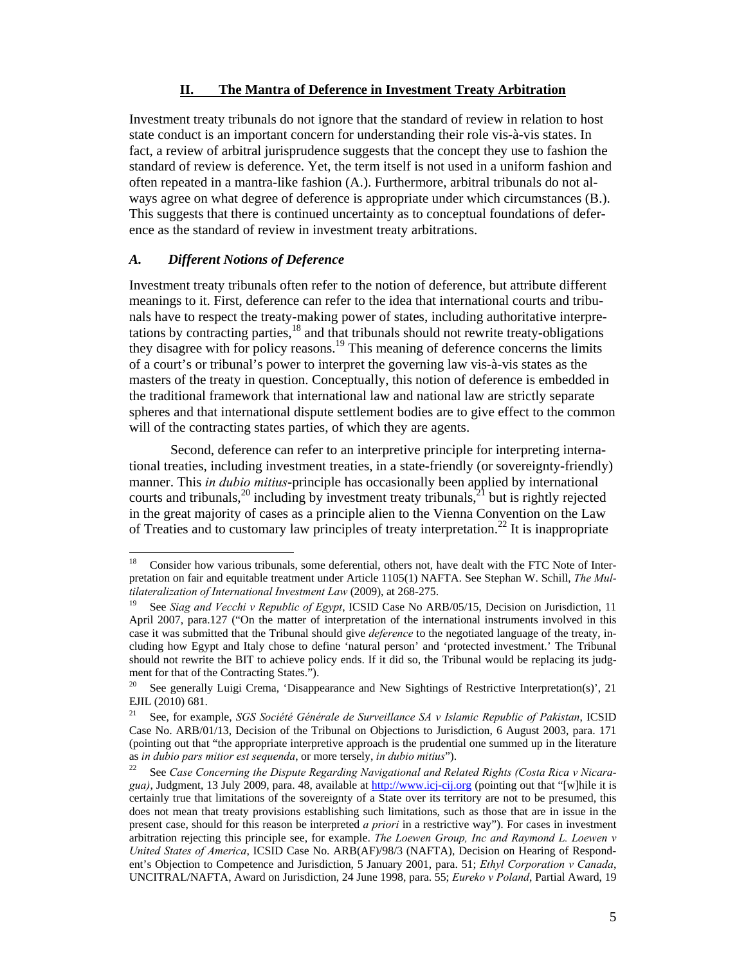#### **II. The Mantra of Deference in Investment Treaty Arbitration**

Investment treaty tribunals do not ignore that the standard of review in relation to host state conduct is an important concern for understanding their role vis-à-vis states. In fact, a review of arbitral jurisprudence suggests that the concept they use to fashion the standard of review is deference. Yet, the term itself is not used in a uniform fashion and often repeated in a mantra-like fashion (A.). Furthermore, arbitral tribunals do not always agree on what degree of deference is appropriate under which circumstances (B.). This suggests that there is continued uncertainty as to conceptual foundations of deference as the standard of review in investment treaty arbitrations.

#### *A. Different Notions of Deference*

Investment treaty tribunals often refer to the notion of deference, but attribute different meanings to it. First, deference can refer to the idea that international courts and tribunals have to respect the treaty-making power of states, including authoritative interpretations by contracting parties, $^{18}$  and that tribunals should not rewrite treaty-obligations they disagree with for policy reasons.<sup>19</sup> This meaning of deference concerns the limits of a court's or tribunal's power to interpret the governing law vis-à-vis states as the masters of the treaty in question. Conceptually, this notion of deference is embedded in the traditional framework that international law and national law are strictly separate spheres and that international dispute settlement bodies are to give effect to the common will of the contracting states parties, of which they are agents.

Second, deference can refer to an interpretive principle for interpreting international treaties, including investment treaties, in a state-friendly (or sovereignty-friendly) manner. This *in dubio mitius*-principle has occasionally been applied by international courts and tribunals,<sup>20</sup> including by investment treaty tribunals,<sup>21</sup> but is rightly rejected in the great majority of cases as a principle alien to the Vienna Convention on the Law of Treaties and to customary law principles of treaty interpretation.<sup>22</sup> It is inappropriate

 $18\,$ 18 Consider how various tribunals, some deferential, others not, have dealt with the FTC Note of Interpretation on fair and equitable treatment under Article 1105(1) NAFTA. See Stephan W. Schill, *The Multilateralization of International Investment Law* (2009), at 268-275.<br><sup>19</sup> See *Siag and Vecchi v Republic of Egypt*, ICSID Case No ARB/05/15, Decision on Jurisdiction, 11

April 2007, para.127 ("On the matter of interpretation of the international instruments involved in this case it was submitted that the Tribunal should give *deference* to the negotiated language of the treaty, including how Egypt and Italy chose to define 'natural person' and 'protected investment.' The Tribunal should not rewrite the BIT to achieve policy ends. If it did so, the Tribunal would be replacing its judgment for that of the Contracting States.").

<sup>&</sup>lt;sup>20</sup> See generally Luigi Crema, 'Disappearance and New Sightings of Restrictive Interpretation(s)', 21 EJIL (2010) 681.

<sup>21</sup> See, for example, *SGS Société Générale de Surveillance SA v Islamic Republic of Pakistan*, ICSID Case No. ARB/01/13, Decision of the Tribunal on Objections to Jurisdiction, 6 August 2003, para. 171 (pointing out that "the appropriate interpretive approach is the prudential one summed up in the literature as *in dubio pars mitior est sequenda*, or more tersely, *in dubio mitius*").<br><sup>22</sup> See *Case Concerning the Dispute Regarding Navigational and Related Rights (Costa Rica v Nicara-*

*gua)*, Judgment, 13 July 2009, para. 48, available at http://www.icj-cij.org (pointing out that "[w]hile it is certainly true that limitations of the sovereignty of a State over its territory are not to be presumed, this does not mean that treaty provisions establishing such limitations, such as those that are in issue in the present case, should for this reason be interpreted *a priori* in a restrictive way"). For cases in investment arbitration rejecting this principle see, for example. *The Loewen Group, Inc and Raymond L. Loewen v United States of America*, ICSID Case No. ARB(AF)/98/3 (NAFTA), Decision on Hearing of Respondent's Objection to Competence and Jurisdiction, 5 January 2001, para. 51; *Ethyl Corporation v Canada*, UNCITRAL/NAFTA, Award on Jurisdiction, 24 June 1998, para. 55; *Eureko v Poland*, Partial Award, 19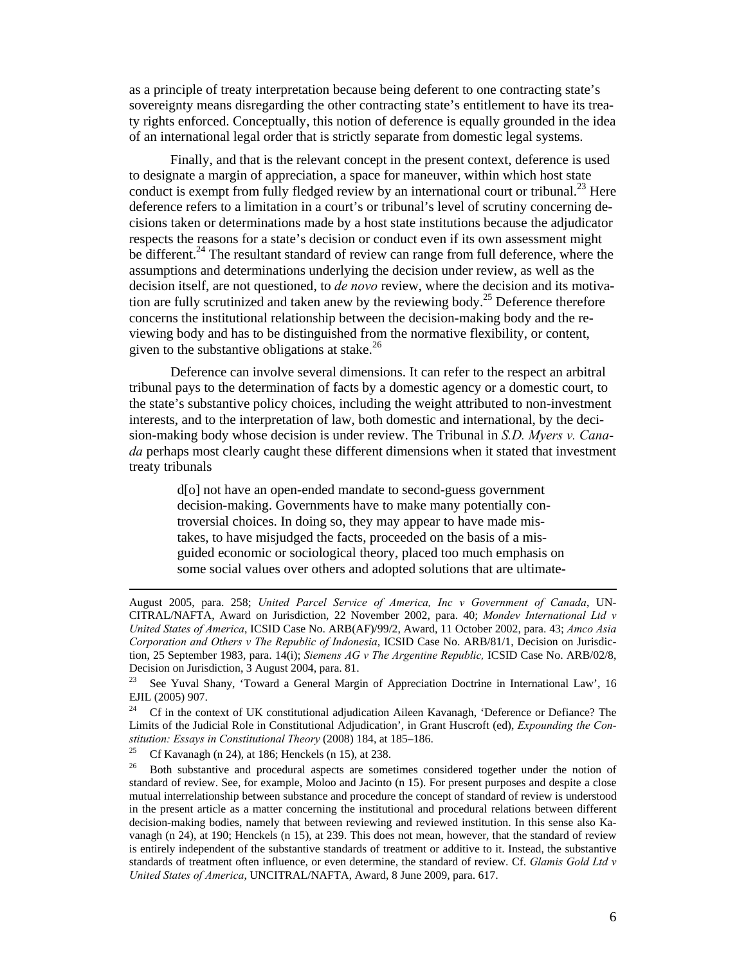as a principle of treaty interpretation because being deferent to one contracting state's sovereignty means disregarding the other contracting state's entitlement to have its treaty rights enforced. Conceptually, this notion of deference is equally grounded in the idea of an international legal order that is strictly separate from domestic legal systems.

Finally, and that is the relevant concept in the present context, deference is used to designate a margin of appreciation, a space for maneuver, within which host state conduct is exempt from fully fledged review by an international court or tribunal.<sup>23</sup> Here deference refers to a limitation in a court's or tribunal's level of scrutiny concerning decisions taken or determinations made by a host state institutions because the adjudicator respects the reasons for a state's decision or conduct even if its own assessment might be different.<sup>24</sup> The resultant standard of review can range from full deference, where the assumptions and determinations underlying the decision under review, as well as the decision itself, are not questioned, to *de novo* review, where the decision and its motivation are fully scrutinized and taken anew by the reviewing body.<sup>25</sup> Deference therefore concerns the institutional relationship between the decision-making body and the reviewing body and has to be distinguished from the normative flexibility, or content, given to the substantive obligations at stake. $^{26}$ 

Deference can involve several dimensions. It can refer to the respect an arbitral tribunal pays to the determination of facts by a domestic agency or a domestic court, to the state's substantive policy choices, including the weight attributed to non-investment interests, and to the interpretation of law, both domestic and international, by the decision-making body whose decision is under review. The Tribunal in *S.D. Myers v. Canada* perhaps most clearly caught these different dimensions when it stated that investment treaty tribunals

d[o] not have an open-ended mandate to second-guess government decision-making. Governments have to make many potentially controversial choices. In doing so, they may appear to have made mistakes, to have misjudged the facts, proceeded on the basis of a misguided economic or sociological theory, placed too much emphasis on some social values over others and adopted solutions that are ultimate-

August 2005, para. 258; *United Parcel Service of America, Inc v Government of Canada*, UN-CITRAL/NAFTA, Award on Jurisdiction, 22 November 2002, para. 40; *Mondev International Ltd v United States of America*, ICSID Case No. ARB(AF)/99/2, Award, 11 October 2002, para. 43; *Amco Asia Corporation and Others v The Republic of Indonesia*, ICSID Case No. ARB/81/1, Decision on Jurisdiction, 25 September 1983, para. 14(i); *Siemens AG v The Argentine Republic,* ICSID Case No. ARB/02/8, Decision on Jurisdiction, 3 August 2004, para. 81.

<sup>&</sup>lt;sup>23</sup> See Yuval Shany, 'Toward a General Margin of Appreciation Doctrine in International Law', 16 EJIL (2005) 907.

<sup>&</sup>lt;sup>24</sup> Cf in the context of UK constitutional adjudication Aileen Kavanagh, 'Deference or Defiance? The Limits of the Judicial Role in Constitutional Adjudication', in Grant Huscroft (ed), *Expounding the Constitution: Essays in Constitutional Theory* (2008) 184, at 185–186.<br><sup>25</sup> Cf Kavanagh (n 24), at 186; Henckels (n 15), at 238.

 $26$  Both substantive and procedural aspects are sometimes considered together under the notion of standard of review. See, for example, Moloo and Jacinto (n 15). For present purposes and despite a close mutual interrelationship between substance and procedure the concept of standard of review is understood in the present article as a matter concerning the institutional and procedural relations between different decision-making bodies, namely that between reviewing and reviewed institution. In this sense also Kavanagh (n 24), at 190; Henckels (n 15), at 239. This does not mean, however, that the standard of review is entirely independent of the substantive standards of treatment or additive to it. Instead, the substantive standards of treatment often influence, or even determine, the standard of review. Cf. *Glamis Gold Ltd v United States of America*, UNCITRAL/NAFTA, Award, 8 June 2009, para. 617.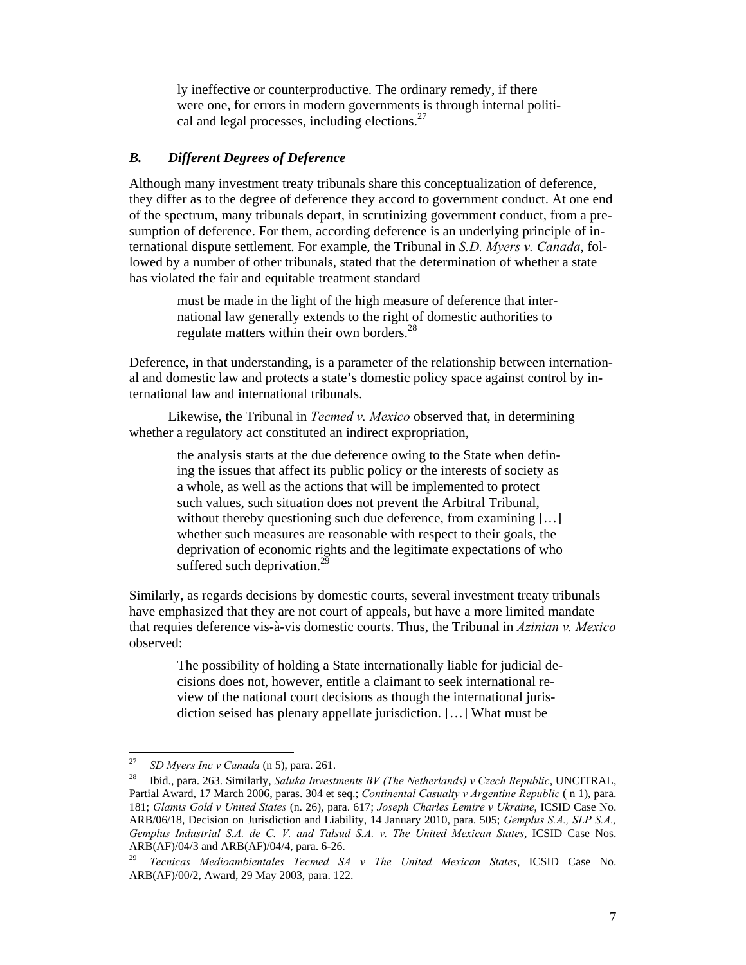ly ineffective or counterproductive. The ordinary remedy, if there were one, for errors in modern governments is through internal political and legal processes, including elections.<sup>27</sup>

#### *B. Different Degrees of Deference*

Although many investment treaty tribunals share this conceptualization of deference, they differ as to the degree of deference they accord to government conduct. At one end of the spectrum, many tribunals depart, in scrutinizing government conduct, from a presumption of deference. For them, according deference is an underlying principle of international dispute settlement. For example, the Tribunal in *S.D. Myers v. Canada*, followed by a number of other tribunals, stated that the determination of whether a state has violated the fair and equitable treatment standard

must be made in the light of the high measure of deference that international law generally extends to the right of domestic authorities to regulate matters within their own borders.<sup>28</sup>

Deference, in that understanding, is a parameter of the relationship between international and domestic law and protects a state's domestic policy space against control by international law and international tribunals.

Likewise, the Tribunal in *Tecmed v. Mexico* observed that, in determining whether a regulatory act constituted an indirect expropriation,

> the analysis starts at the due deference owing to the State when defining the issues that affect its public policy or the interests of society as a whole, as well as the actions that will be implemented to protect such values, such situation does not prevent the Arbitral Tribunal, without thereby questioning such due deference, from examining [...] whether such measures are reasonable with respect to their goals, the deprivation of economic rights and the legitimate expectations of who suffered such deprivation.<sup>29</sup>

Similarly, as regards decisions by domestic courts, several investment treaty tribunals have emphasized that they are not court of appeals, but have a more limited mandate that requies deference vis-à-vis domestic courts. Thus, the Tribunal in *Azinian v. Mexico* observed:

The possibility of holding a State internationally liable for judicial decisions does not, however, entitle a claimant to seek international review of the national court decisions as though the international jurisdiction seised has plenary appellate jurisdiction. […] What must be

<sup>27</sup> 

<sup>&</sup>lt;sup>27</sup> SD Myers Inc v Canada (n 5), para. 261.<br><sup>28</sup> Ibid., para. 263. Similarly, *Saluka Investments BV (The Netherlands) v Czech Republic*, UNCITRAL, Partial Award, 17 March 2006, paras. 304 et seq.; *Continental Casualty v Argentine Republic* ( n 1), para. 181; *Glamis Gold v United States* (n. 26), para. 617; *Joseph Charles Lemire v Ukraine*, ICSID Case No. ARB/06/18, Decision on Jurisdiction and Liability, 14 January 2010, para. 505; *Gemplus S.A., SLP S.A., Gemplus Industrial S.A. de C. V. and Talsud S.A. v. The United Mexican States*, ICSID Case Nos. ARB(AF)/04/3 and ARB(AF)/04/4, para. 6-26.

<sup>29</sup> *Tecnicas Medioambientales Tecmed SA v The United Mexican States*, ICSID Case No. ARB(AF)/00/2, Award, 29 May 2003, para. 122.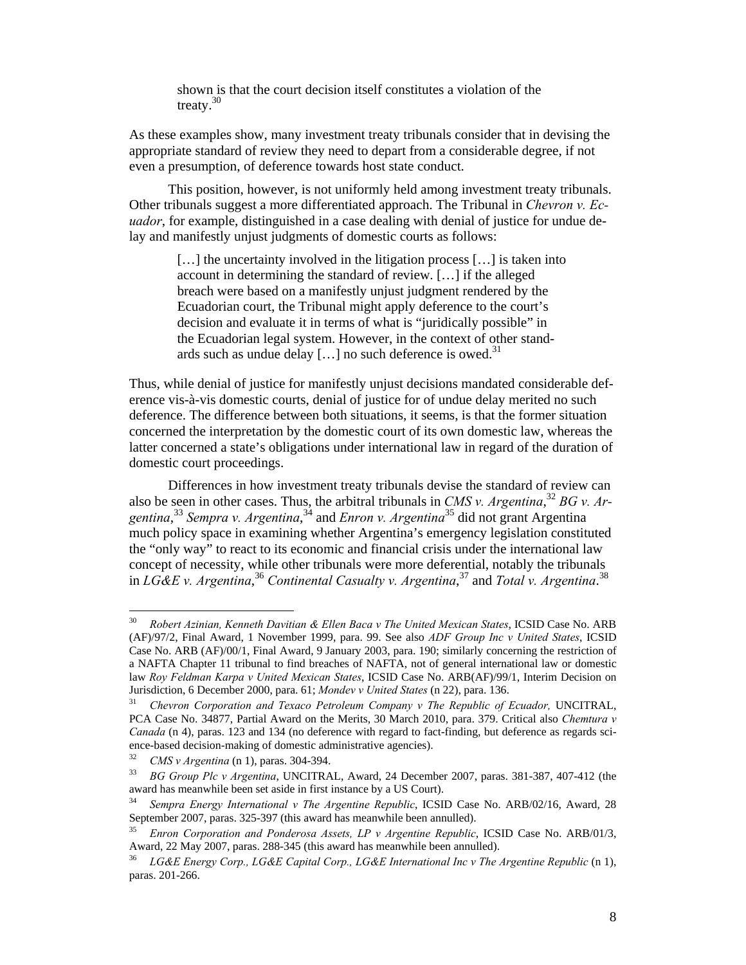shown is that the court decision itself constitutes a violation of the treaty.<sup>30</sup>

As these examples show, many investment treaty tribunals consider that in devising the appropriate standard of review they need to depart from a considerable degree, if not even a presumption, of deference towards host state conduct.

This position, however, is not uniformly held among investment treaty tribunals. Other tribunals suggest a more differentiated approach. The Tribunal in *Chevron v. Ecuador*, for example, distinguished in a case dealing with denial of justice for undue delay and manifestly unjust judgments of domestic courts as follows:

[...] the uncertainty involved in the litigation process [...] is taken into account in determining the standard of review. […] if the alleged breach were based on a manifestly unjust judgment rendered by the Ecuadorian court, the Tribunal might apply deference to the court's decision and evaluate it in terms of what is "juridically possible" in the Ecuadorian legal system. However, in the context of other standards such as undue delay [ $\dots$ ] no such deference is owed.<sup>31</sup>

Thus, while denial of justice for manifestly unjust decisions mandated considerable deference vis-à-vis domestic courts, denial of justice for of undue delay merited no such deference. The difference between both situations, it seems, is that the former situation concerned the interpretation by the domestic court of its own domestic law, whereas the latter concerned a state's obligations under international law in regard of the duration of domestic court proceedings.

Differences in how investment treaty tribunals devise the standard of review can also be seen in other cases. Thus, the arbitral tribunals in *CMS v. Argentina*, <sup>32</sup> *BG v. Argentina*, <sup>33</sup> *Sempra v. Argentina*, 34 and *Enron v. Argentina*35 did not grant Argentina much policy space in examining whether Argentina's emergency legislation constituted the "only way" to react to its economic and financial crisis under the international law concept of necessity, while other tribunals were more deferential, notably the tribunals in *LG&E v. Argentina*, <sup>36</sup> *Continental Casualty v. Argentina*, 37 and *Total v. Argentina*. 38

 $30<sub>1</sub>$ 30 *Robert Azinian, Kenneth Davitian & Ellen Baca v The United Mexican States*, ICSID Case No. ARB (AF)/97/2, Final Award, 1 November 1999, para. 99. See also *ADF Group Inc v United States*, ICSID Case No. ARB (AF)/00/1, Final Award, 9 January 2003, para. 190; similarly concerning the restriction of a NAFTA Chapter 11 tribunal to find breaches of NAFTA, not of general international law or domestic law *Roy Feldman Karpa v United Mexican States*, ICSID Case No. ARB(AF)/99/1, Interim Decision on

<sup>&</sup>lt;sup>31</sup> Chevron Corporation and Texaco Petroleum Company v The Republic of Ecuador, UNCITRAL, PCA Case No. 34877, Partial Award on the Merits, 30 March 2010, para. 379. Critical also *Chemtura v Canada* (n 4), paras. 123 and 134 (no deference with regard to fact-finding, but deference as regards science-based decision-making of domestic administrative agencies).

<sup>32</sup>*CMS v Argentina* (n 1), paras. 304-394. 33 *BG Group Plc v Argentina*, UNCITRAL, Award, 24 December 2007, paras. 381-387, 407-412 (the award has meanwhile been set aside in first instance by a US Court).

<sup>34</sup> *Sempra Energy International v The Argentine Republic*, ICSID Case No. ARB/02/16, Award, 28 September 2007, paras. 325-397 (this award has meanwhile been annulled).

<sup>35</sup> *Enron Corporation and Ponderosa Assets, LP v Argentine Republic*, ICSID Case No. ARB/01/3, Award, 22 May 2007, paras. 288-345 (this award has meanwhile been annulled).

<sup>36</sup> *LG&E Energy Corp., LG&E Capital Corp., LG&E International Inc v The Argentine Republic* (n 1), paras. 201-266.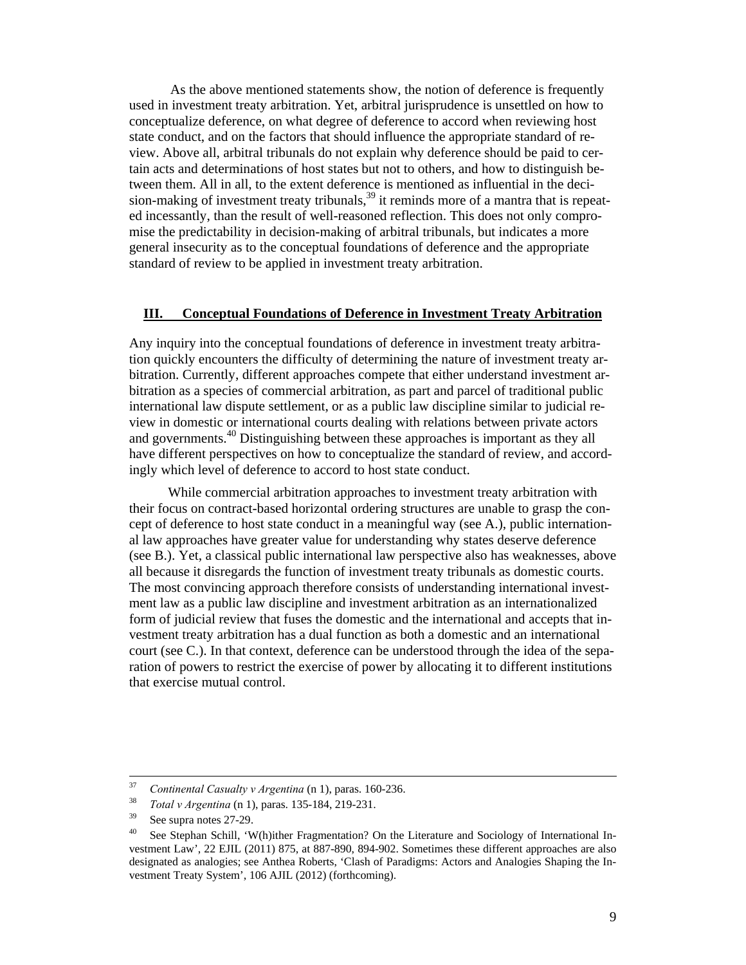As the above mentioned statements show, the notion of deference is frequently used in investment treaty arbitration. Yet, arbitral jurisprudence is unsettled on how to conceptualize deference, on what degree of deference to accord when reviewing host state conduct, and on the factors that should influence the appropriate standard of review. Above all, arbitral tribunals do not explain why deference should be paid to certain acts and determinations of host states but not to others, and how to distinguish between them. All in all, to the extent deference is mentioned as influential in the decision-making of investment treaty tribunals,<sup>39</sup> it reminds more of a mantra that is repeated incessantly, than the result of well-reasoned reflection. This does not only compromise the predictability in decision-making of arbitral tribunals, but indicates a more general insecurity as to the conceptual foundations of deference and the appropriate standard of review to be applied in investment treaty arbitration.

#### **III. Conceptual Foundations of Deference in Investment Treaty Arbitration**

Any inquiry into the conceptual foundations of deference in investment treaty arbitration quickly encounters the difficulty of determining the nature of investment treaty arbitration. Currently, different approaches compete that either understand investment arbitration as a species of commercial arbitration, as part and parcel of traditional public international law dispute settlement, or as a public law discipline similar to judicial review in domestic or international courts dealing with relations between private actors and governments.<sup>40</sup> Distinguishing between these approaches is important as they all have different perspectives on how to conceptualize the standard of review, and accordingly which level of deference to accord to host state conduct.

While commercial arbitration approaches to investment treaty arbitration with their focus on contract-based horizontal ordering structures are unable to grasp the concept of deference to host state conduct in a meaningful way (see A.), public international law approaches have greater value for understanding why states deserve deference (see B.). Yet, a classical public international law perspective also has weaknesses, above all because it disregards the function of investment treaty tribunals as domestic courts. The most convincing approach therefore consists of understanding international investment law as a public law discipline and investment arbitration as an internationalized form of judicial review that fuses the domestic and the international and accepts that investment treaty arbitration has a dual function as both a domestic and an international court (see C.). In that context, deference can be understood through the idea of the separation of powers to restrict the exercise of power by allocating it to different institutions that exercise mutual control.

<sup>&</sup>lt;sup>37</sup> Continental Casualty v Argentina (n 1), paras. 160-236.<br><sup>38</sup> *Total v Argentina* (n 1), paras. 135-184, 219-231.<br><sup>39</sup> See supra notes 27-29.

<sup>&</sup>lt;sup>40</sup> See Stephan Schill, 'W(h)ither Fragmentation? On the Literature and Sociology of International Investment Law', 22 EJIL (2011) 875, at 887-890, 894-902. Sometimes these different approaches are also designated as analogies; see Anthea Roberts, 'Clash of Paradigms: Actors and Analogies Shaping the Investment Treaty System', 106 AJIL (2012) (forthcoming).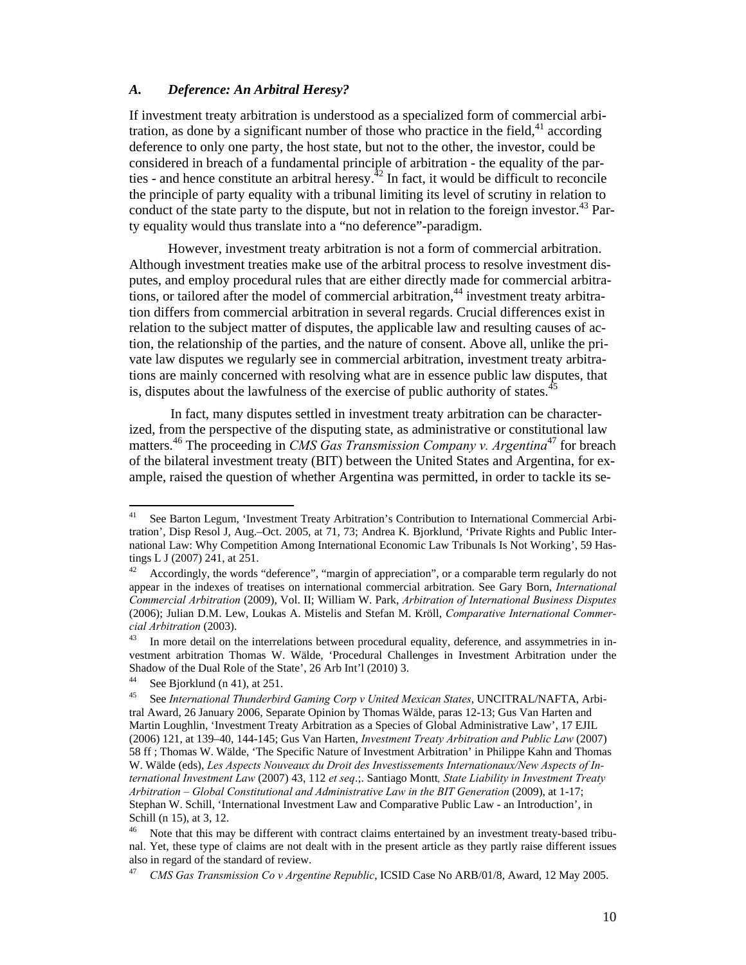#### *A. Deference: An Arbitral Heresy?*

If investment treaty arbitration is understood as a specialized form of commercial arbitration, as done by a significant number of those who practice in the field,  $4^1$  according deference to only one party, the host state, but not to the other, the investor, could be considered in breach of a fundamental principle of arbitration - the equality of the parties - and hence constitute an arbitral heresy.<sup> $42$ </sup> In fact, it would be difficult to reconcile the principle of party equality with a tribunal limiting its level of scrutiny in relation to conduct of the state party to the dispute, but not in relation to the foreign investor.<sup>43</sup> Party equality would thus translate into a "no deference"-paradigm.

However, investment treaty arbitration is not a form of commercial arbitration. Although investment treaties make use of the arbitral process to resolve investment disputes, and employ procedural rules that are either directly made for commercial arbitrations, or tailored after the model of commercial arbitration, $44$  investment treaty arbitration differs from commercial arbitration in several regards. Crucial differences exist in relation to the subject matter of disputes, the applicable law and resulting causes of action, the relationship of the parties, and the nature of consent. Above all, unlike the private law disputes we regularly see in commercial arbitration, investment treaty arbitrations are mainly concerned with resolving what are in essence public law disputes, that is, disputes about the lawfulness of the exercise of public authority of states. $\dot{\ }$ 

In fact, many disputes settled in investment treaty arbitration can be characterized, from the perspective of the disputing state, as administrative or constitutional law matters.46 The proceeding in *CMS Gas Transmission Company v. Argentina*47 for breach of the bilateral investment treaty (BIT) between the United States and Argentina, for example, raised the question of whether Argentina was permitted, in order to tackle its se-

See Barton Legum, 'Investment Treaty Arbitration's Contribution to International Commercial Arbitration', Disp Resol J, Aug.–Oct. 2005, at 71, 73; Andrea K. Bjorklund, 'Private Rights and Public International Law: Why Competition Among International Economic Law Tribunals Is Not Working', 59 Hastings L J (2007) 241, at 251.

 $42$  Accordingly, the words "deference", "margin of appreciation", or a comparable term regularly do not appear in the indexes of treatises on international commercial arbitration. See Gary Born, *International Commercial Arbitration* (2009), Vol. II; William W. Park, *Arbitration of International Business Disputes* (2006); Julian D.M. Lew, Loukas A. Mistelis and Stefan M. Kröll, *Comparative International Commercial Arbitration* (2003).<br><sup>43</sup> In more detail on the interrelations between procedural equality, deference, and assymmetries in in-

vestment arbitration Thomas W. Wälde, 'Procedural Challenges in Investment Arbitration under the Shadow of the Dual Role of the State', 26 Arb Int'l (2010) 3.

<sup>&</sup>lt;sup>44</sup> See Bjorklund (n 41), at 251.

<sup>45</sup> See *International Thunderbird Gaming Corp v United Mexican States*, UNCITRAL/NAFTA, Arbitral Award, 26 January 2006, Separate Opinion by Thomas Wälde, paras 12-13; Gus Van Harten and Martin Loughlin, 'Investment Treaty Arbitration as a Species of Global Administrative Law', 17 EJIL (2006) 121, at 139–40, 144-145; Gus Van Harten, *Investment Treaty Arbitration and Public Law* (2007) 58 ff ; Thomas W. Wälde, 'The Specific Nature of Investment Arbitration' in Philippe Kahn and Thomas W. Wälde (eds), *Les Aspects Nouveaux du Droit des Investissements Internationaux/New Aspects of International Investment Law* (2007) 43, 112 *et seq*.;. Santiago Montt*, State Liability in Investment Treaty Arbitration – Global Constitutional and Administrative Law in the BIT Generation* (2009), at 1-17; Stephan W. Schill, 'International Investment Law and Comparative Public Law - an Introduction', in Schill (n 15), at 3, 12.<br><sup>46</sup> Note that this may be different with contract claims entertained by an investment treaty-based tribu-

nal. Yet, these type of claims are not dealt with in the present article as they partly raise different issues also in regard of the standard of review.

<sup>47</sup> *CMS Gas Transmission Co v Argentine Republic*, ICSID Case No ARB/01/8, Award, 12 May 2005.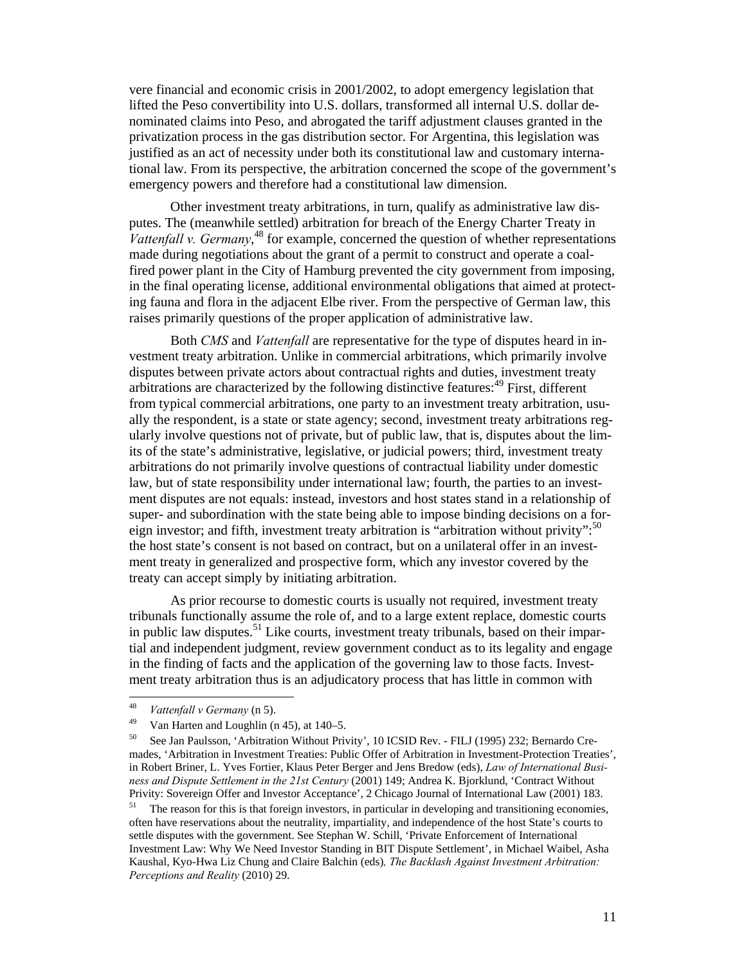vere financial and economic crisis in 2001/2002, to adopt emergency legislation that lifted the Peso convertibility into U.S. dollars, transformed all internal U.S. dollar denominated claims into Peso, and abrogated the tariff adjustment clauses granted in the privatization process in the gas distribution sector. For Argentina, this legislation was justified as an act of necessity under both its constitutional law and customary international law. From its perspective, the arbitration concerned the scope of the government's emergency powers and therefore had a constitutional law dimension.

Other investment treaty arbitrations, in turn, qualify as administrative law disputes. The (meanwhile settled) arbitration for breach of the Energy Charter Treaty in Vattenfall v. Germany,<sup>48</sup> for example, concerned the question of whether representations made during negotiations about the grant of a permit to construct and operate a coalfired power plant in the City of Hamburg prevented the city government from imposing, in the final operating license, additional environmental obligations that aimed at protecting fauna and flora in the adjacent Elbe river. From the perspective of German law, this raises primarily questions of the proper application of administrative law.

Both *CMS* and *Vattenfall* are representative for the type of disputes heard in investment treaty arbitration. Unlike in commercial arbitrations, which primarily involve disputes between private actors about contractual rights and duties, investment treaty arbitrations are characterized by the following distinctive features: $49$  First, different from typical commercial arbitrations, one party to an investment treaty arbitration, usually the respondent, is a state or state agency; second, investment treaty arbitrations regularly involve questions not of private, but of public law, that is, disputes about the limits of the state's administrative, legislative, or judicial powers; third, investment treaty arbitrations do not primarily involve questions of contractual liability under domestic law, but of state responsibility under international law; fourth, the parties to an investment disputes are not equals: instead, investors and host states stand in a relationship of super- and subordination with the state being able to impose binding decisions on a foreign investor; and fifth, investment treaty arbitration is "arbitration without privity":  $50$ the host state's consent is not based on contract, but on a unilateral offer in an investment treaty in generalized and prospective form, which any investor covered by the treaty can accept simply by initiating arbitration.

As prior recourse to domestic courts is usually not required, investment treaty tribunals functionally assume the role of, and to a large extent replace, domestic courts in public law disputes.51 Like courts, investment treaty tribunals, based on their impartial and independent judgment, review government conduct as to its legality and engage in the finding of facts and the application of the governing law to those facts. Investment treaty arbitration thus is an adjudicatory process that has little in common with

<sup>&</sup>lt;sup>48</sup> *Vattenfall v Germany* (n 5).<br><sup>49</sup> Van Harten and Loughlin (n 45), at 140–5.

<sup>&</sup>lt;sup>50</sup> See Jan Paulsson, 'Arbitration Without Privity', 10 ICSID Rev. - FILJ (1995) 232; Bernardo Cremades, 'Arbitration in Investment Treaties: Public Offer of Arbitration in Investment-Protection Treaties', in Robert Briner, L. Yves Fortier, Klaus Peter Berger and Jens Bredow (eds), *Law of International Business and Dispute Settlement in the 21st Century* (2001) 149; Andrea K. Bjorklund, 'Contract Without Privity: Sovereign Offer and Investor Acceptance', 2 Chicago Journal of International Law (2001) 183.<br><sup>51</sup> The reason for this is that foreign investors, in particular in developing and transitioning economies,

often have reservations about the neutrality, impartiality, and independence of the host State's courts to settle disputes with the government. See Stephan W. Schill, 'Private Enforcement of International Investment Law: Why We Need Investor Standing in BIT Dispute Settlement', in Michael Waibel, Asha Kaushal, Kyo-Hwa Liz Chung and Claire Balchin (eds)*, The Backlash Against Investment Arbitration: Perceptions and Reality* (2010) 29.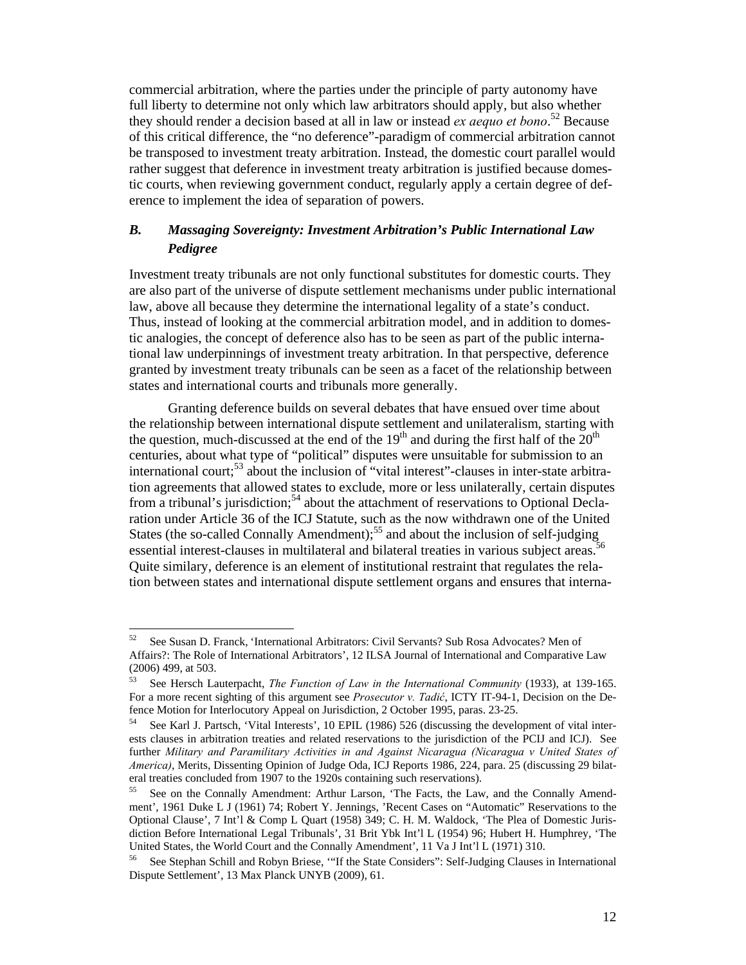commercial arbitration, where the parties under the principle of party autonomy have full liberty to determine not only which law arbitrators should apply, but also whether they should render a decision based at all in law or instead *ex aequo et bono*. 52 Because of this critical difference, the "no deference"-paradigm of commercial arbitration cannot be transposed to investment treaty arbitration. Instead, the domestic court parallel would rather suggest that deference in investment treaty arbitration is justified because domestic courts, when reviewing government conduct, regularly apply a certain degree of deference to implement the idea of separation of powers.

## *B. Massaging Sovereignty: Investment Arbitration's Public International Law Pedigree*

Investment treaty tribunals are not only functional substitutes for domestic courts. They are also part of the universe of dispute settlement mechanisms under public international law, above all because they determine the international legality of a state's conduct. Thus, instead of looking at the commercial arbitration model, and in addition to domestic analogies, the concept of deference also has to be seen as part of the public international law underpinnings of investment treaty arbitration. In that perspective, deference granted by investment treaty tribunals can be seen as a facet of the relationship between states and international courts and tribunals more generally.

Granting deference builds on several debates that have ensued over time about the relationship between international dispute settlement and unilateralism, starting with the question, much-discussed at the end of the  $19<sup>th</sup>$  and during the first half of the  $20<sup>th</sup>$ centuries, about what type of "political" disputes were unsuitable for submission to an international court;<sup>53</sup> about the inclusion of "vital interest"-clauses in inter-state arbitration agreements that allowed states to exclude, more or less unilaterally, certain disputes from a tribunal's jurisdiction;<sup>54</sup> about the attachment of reservations to Optional Declaration under Article 36 of the ICJ Statute, such as the now withdrawn one of the United States (the so-called Connally Amendment);<sup>55</sup> and about the inclusion of self-judging essential interest-clauses in multilateral and bilateral treaties in various subject areas. Quite similary, deference is an element of institutional restraint that regulates the relation between states and international dispute settlement organs and ensures that interna-

<sup>52</sup> See Susan D. Franck, 'International Arbitrators: Civil Servants? Sub Rosa Advocates? Men of Affairs?: The Role of International Arbitrators', 12 ILSA Journal of International and Comparative Law (2006) 499, at 503.

<sup>53</sup> See Hersch Lauterpacht, *The Function of Law in the International Community* (1933), at 139-165. For a more recent sighting of this argument see *Prosecutor v. Tadić*, ICTY IT-94-1, Decision on the Defence Motion for Interlocutory Appeal on Jurisdiction, 2 October 1995, paras. 23-25.

<sup>54</sup> See Karl J. Partsch, 'Vital Interests', 10 EPIL (1986) 526 (discussing the development of vital interests clauses in arbitration treaties and related reservations to the jurisdiction of the PCIJ and ICJ). See further *Military and Paramilitary Activities in and Against Nicaragua (Nicaragua v United States of America)*, Merits, Dissenting Opinion of Judge Oda, ICJ Reports 1986, 224, para. 25 (discussing 29 bilateral treaties concluded from 1907 to the 1920s containing such reservations).

<sup>55</sup> See on the Connally Amendment: Arthur Larson, 'The Facts, the Law, and the Connally Amendment', 1961 Duke L J (1961) 74; Robert Y. Jennings, 'Recent Cases on "Automatic" Reservations to the Optional Clause', 7 Int'l & Comp L Quart (1958) 349; C. H. M. Waldock, 'The Plea of Domestic Jurisdiction Before International Legal Tribunals', 31 Brit Ybk Int'l L (1954) 96; Hubert H. Humphrey, 'The United States, the World Court and the Connally Amendment', 11 Va J Int'l L (1971) 310.

<sup>56</sup> See Stephan Schill and Robyn Briese, '"If the State Considers": Self-Judging Clauses in International Dispute Settlement', 13 Max Planck UNYB (2009), 61.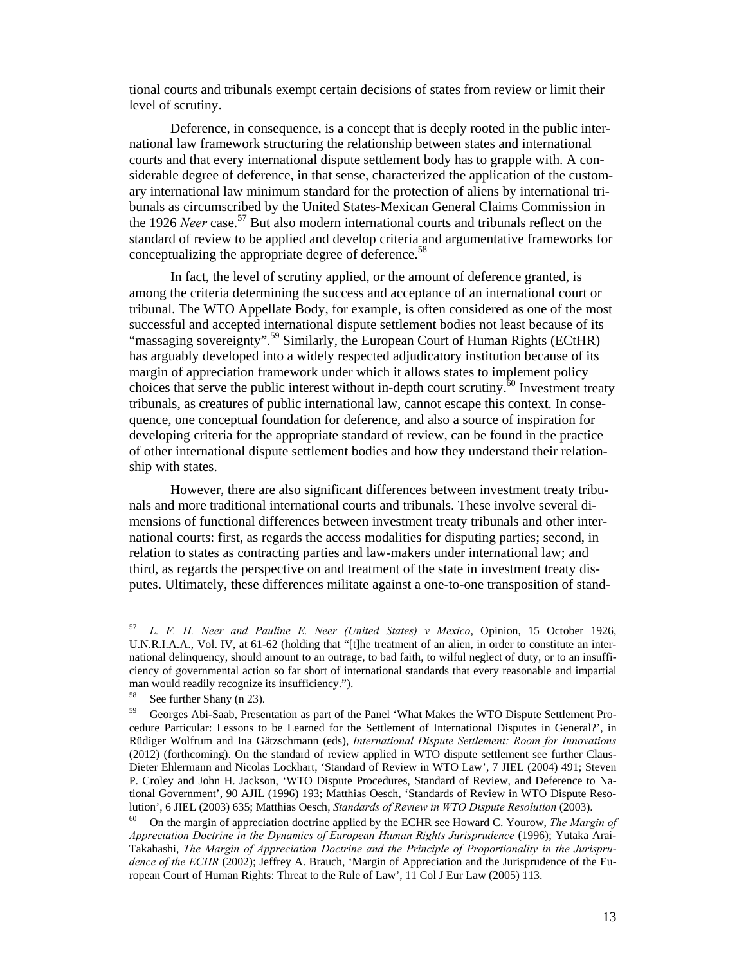tional courts and tribunals exempt certain decisions of states from review or limit their level of scrutiny.

Deference, in consequence, is a concept that is deeply rooted in the public international law framework structuring the relationship between states and international courts and that every international dispute settlement body has to grapple with. A considerable degree of deference, in that sense, characterized the application of the customary international law minimum standard for the protection of aliens by international tribunals as circumscribed by the United States-Mexican General Claims Commission in the 1926 *Neer* case.<sup>57</sup> But also modern international courts and tribunals reflect on the standard of review to be applied and develop criteria and argumentative frameworks for conceptualizing the appropriate degree of deference.<sup>58</sup>

In fact, the level of scrutiny applied, or the amount of deference granted, is among the criteria determining the success and acceptance of an international court or tribunal. The WTO Appellate Body, for example, is often considered as one of the most successful and accepted international dispute settlement bodies not least because of its "massaging sovereignty".<sup>59</sup> Similarly, the European Court of Human Rights (ECtHR) has arguably developed into a widely respected adjudicatory institution because of its margin of appreciation framework under which it allows states to implement policy choices that serve the public interest without in-depth court scrutiny.<sup>60</sup> Investment treaty tribunals, as creatures of public international law, cannot escape this context. In consequence, one conceptual foundation for deference, and also a source of inspiration for developing criteria for the appropriate standard of review, can be found in the practice of other international dispute settlement bodies and how they understand their relationship with states.

However, there are also significant differences between investment treaty tribunals and more traditional international courts and tribunals. These involve several dimensions of functional differences between investment treaty tribunals and other international courts: first, as regards the access modalities for disputing parties; second, in relation to states as contracting parties and law-makers under international law; and third, as regards the perspective on and treatment of the state in investment treaty disputes. Ultimately, these differences militate against a one-to-one transposition of stand-

<sup>57</sup> 57 *L. F. H. Neer and Pauline E. Neer (United States) v Mexico*, Opinion, 15 October 1926, U.N.R.I.A.A., Vol. IV, at 61-62 (holding that "[t]he treatment of an alien, in order to constitute an international delinquency, should amount to an outrage, to bad faith, to wilful neglect of duty, or to an insufficiency of governmental action so far short of international standards that every reasonable and impartial man would readily recognize its insufficiency.").

<sup>58</sup> See further Shany (n 23).

<sup>&</sup>lt;sup>59</sup> Georges Abi-Saab, Presentation as part of the Panel 'What Makes the WTO Dispute Settlement Procedure Particular: Lessons to be Learned for the Settlement of International Disputes in General?', in Rüdiger Wolfrum and Ina Gätzschmann (eds), *International Dispute Settlement: Room for Innovations* (2012) (forthcoming). On the standard of review applied in WTO dispute settlement see further Claus-Dieter Ehlermann and Nicolas Lockhart, 'Standard of Review in WTO Law', 7 JIEL (2004) 491; Steven P. Croley and John H. Jackson, 'WTO Dispute Procedures, Standard of Review, and Deference to National Government', 90 AJIL (1996) 193; Matthias Oesch, 'Standards of Review in WTO Dispute Resolution', 6 JIEL (2003) 635; Matthias Oesch, *Standards of Review in WTO Dispute Resolution* (2003).<br><sup>60</sup> On the margin of appreciation doctrine applied by the ECHR see Howard C. Yourow, *The Margin of* 

*Appreciation Doctrine in the Dynamics of European Human Rights Jurisprudence* (1996); Yutaka Arai-Takahashi, *The Margin of Appreciation Doctrine and the Principle of Proportionality in the Jurisprudence of the ECHR* (2002); Jeffrey A. Brauch, 'Margin of Appreciation and the Jurisprudence of the European Court of Human Rights: Threat to the Rule of Law', 11 Col J Eur Law (2005) 113.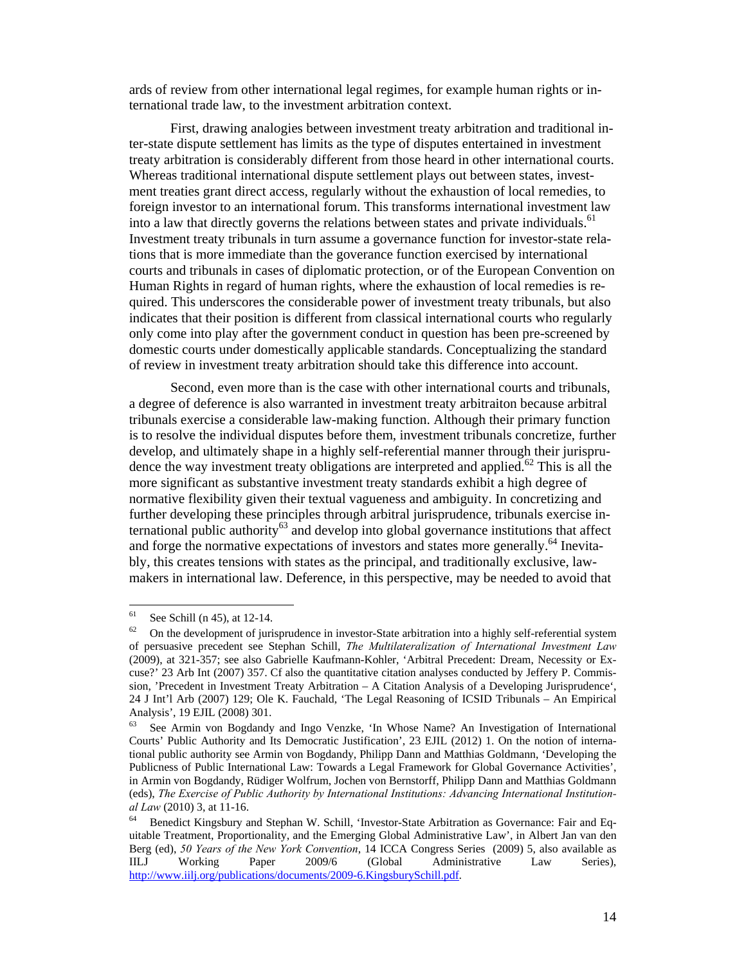ards of review from other international legal regimes, for example human rights or international trade law, to the investment arbitration context.

First, drawing analogies between investment treaty arbitration and traditional inter-state dispute settlement has limits as the type of disputes entertained in investment treaty arbitration is considerably different from those heard in other international courts. Whereas traditional international dispute settlement plays out between states, investment treaties grant direct access, regularly without the exhaustion of local remedies, to foreign investor to an international forum. This transforms international investment law into a law that directly governs the relations between states and private individuals.<sup>61</sup> Investment treaty tribunals in turn assume a governance function for investor-state relations that is more immediate than the goverance function exercised by international courts and tribunals in cases of diplomatic protection, or of the European Convention on Human Rights in regard of human rights, where the exhaustion of local remedies is required. This underscores the considerable power of investment treaty tribunals, but also indicates that their position is different from classical international courts who regularly only come into play after the government conduct in question has been pre-screened by domestic courts under domestically applicable standards. Conceptualizing the standard of review in investment treaty arbitration should take this difference into account.

Second, even more than is the case with other international courts and tribunals, a degree of deference is also warranted in investment treaty arbitraiton because arbitral tribunals exercise a considerable law-making function. Although their primary function is to resolve the individual disputes before them, investment tribunals concretize, further develop, and ultimately shape in a highly self-referential manner through their jurisprudence the way investment treaty obligations are interpreted and applied.<sup>62</sup> This is all the more significant as substantive investment treaty standards exhibit a high degree of normative flexibility given their textual vagueness and ambiguity. In concretizing and further developing these principles through arbitral jurisprudence, tribunals exercise international public authority<sup>63</sup> and develop into global governance institutions that affect and forge the normative expectations of investors and states more generally.<sup>64</sup> Inevitably, this creates tensions with states as the principal, and traditionally exclusive, lawmakers in international law. Deference, in this perspective, may be needed to avoid that

 $61\,$ See Schill (n 45), at 12-14.

 $62$  On the development of jurisprudence in investor-State arbitration into a highly self-referential system of persuasive precedent see Stephan Schill, *The Multilateralization of International Investment Law* (2009), at 321-357; see also Gabrielle Kaufmann-Kohler, 'Arbitral Precedent: Dream, Necessity or Excuse?' 23 Arb Int (2007) 357. Cf also the quantitative citation analyses conducted by Jeffery P. Commission, 'Precedent in Investment Treaty Arbitration – A Citation Analysis of a Developing Jurisprudence', 24 J Int'l Arb (2007) 129; Ole K. Fauchald, 'The Legal Reasoning of ICSID Tribunals – An Empirical Analysis', 19 EJIL (2008) 301.<br><sup>63</sup> See Armin von Bogdandy and Ingo Venzke, 'In Whose Name? An Investigation of International

Courts' Public Authority and Its Democratic Justification', 23 EJIL (2012) 1. On the notion of international public authority see Armin von Bogdandy, Philipp Dann and Matthias Goldmann, 'Developing the Publicness of Public International Law: Towards a Legal Framework for Global Governance Activities', in Armin von Bogdandy, Rüdiger Wolfrum, Jochen von Bernstorff, Philipp Dann and Matthias Goldmann (eds), *The Exercise of Public Authority by International Institutions: Advancing International Institutional Law* (2010) 3, at 11-16.<br><sup>64</sup> Benedict Kingsbury and Stephan W. Schill, 'Investor-State Arbitration as Governance: Fair and Eq-

uitable Treatment, Proportionality, and the Emerging Global Administrative Law', in Albert Jan van den Berg (ed), *50 Years of the New York Convention*, 14 ICCA Congress Series (2009) 5, also available as IILJ Working Paper 2009/6 (Global Administrative Law Series), http://www.iilj.org/publications/documents/2009-6.KingsburySchill.pdf.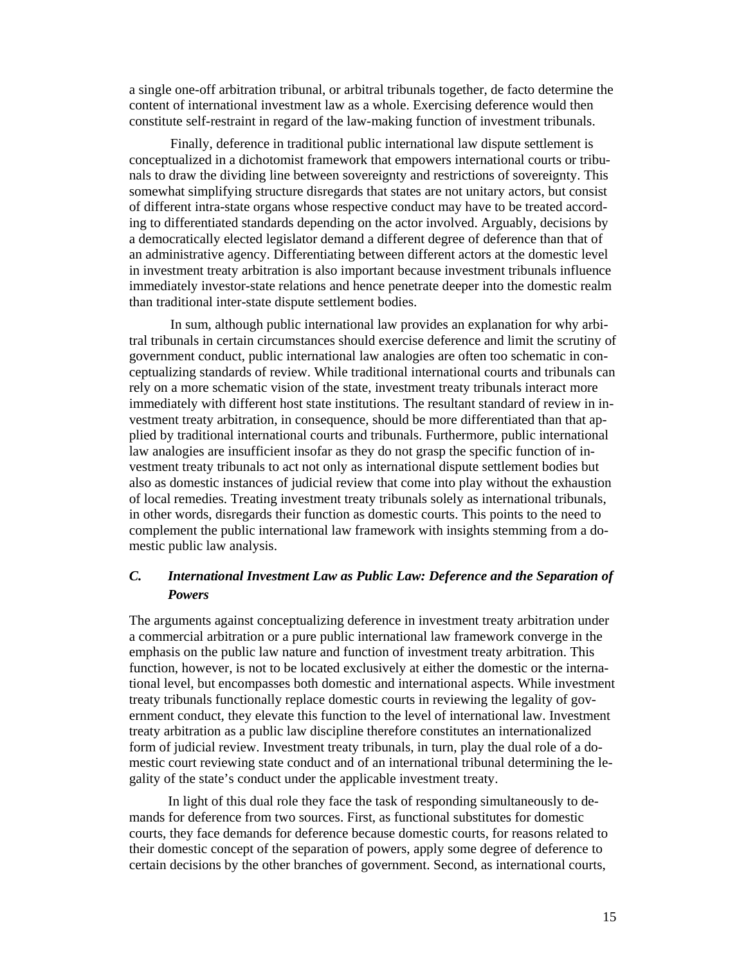a single one-off arbitration tribunal, or arbitral tribunals together, de facto determine the content of international investment law as a whole. Exercising deference would then constitute self-restraint in regard of the law-making function of investment tribunals.

Finally, deference in traditional public international law dispute settlement is conceptualized in a dichotomist framework that empowers international courts or tribunals to draw the dividing line between sovereignty and restrictions of sovereignty. This somewhat simplifying structure disregards that states are not unitary actors, but consist of different intra-state organs whose respective conduct may have to be treated according to differentiated standards depending on the actor involved. Arguably, decisions by a democratically elected legislator demand a different degree of deference than that of an administrative agency. Differentiating between different actors at the domestic level in investment treaty arbitration is also important because investment tribunals influence immediately investor-state relations and hence penetrate deeper into the domestic realm than traditional inter-state dispute settlement bodies.

In sum, although public international law provides an explanation for why arbitral tribunals in certain circumstances should exercise deference and limit the scrutiny of government conduct, public international law analogies are often too schematic in conceptualizing standards of review. While traditional international courts and tribunals can rely on a more schematic vision of the state, investment treaty tribunals interact more immediately with different host state institutions. The resultant standard of review in investment treaty arbitration, in consequence, should be more differentiated than that applied by traditional international courts and tribunals. Furthermore, public international law analogies are insufficient insofar as they do not grasp the specific function of investment treaty tribunals to act not only as international dispute settlement bodies but also as domestic instances of judicial review that come into play without the exhaustion of local remedies. Treating investment treaty tribunals solely as international tribunals, in other words, disregards their function as domestic courts. This points to the need to complement the public international law framework with insights stemming from a domestic public law analysis.

## *C. International Investment Law as Public Law: Deference and the Separation of Powers*

The arguments against conceptualizing deference in investment treaty arbitration under a commercial arbitration or a pure public international law framework converge in the emphasis on the public law nature and function of investment treaty arbitration. This function, however, is not to be located exclusively at either the domestic or the international level, but encompasses both domestic and international aspects. While investment treaty tribunals functionally replace domestic courts in reviewing the legality of government conduct, they elevate this function to the level of international law. Investment treaty arbitration as a public law discipline therefore constitutes an internationalized form of judicial review. Investment treaty tribunals, in turn, play the dual role of a domestic court reviewing state conduct and of an international tribunal determining the legality of the state's conduct under the applicable investment treaty.

In light of this dual role they face the task of responding simultaneously to demands for deference from two sources. First, as functional substitutes for domestic courts, they face demands for deference because domestic courts, for reasons related to their domestic concept of the separation of powers, apply some degree of deference to certain decisions by the other branches of government. Second, as international courts,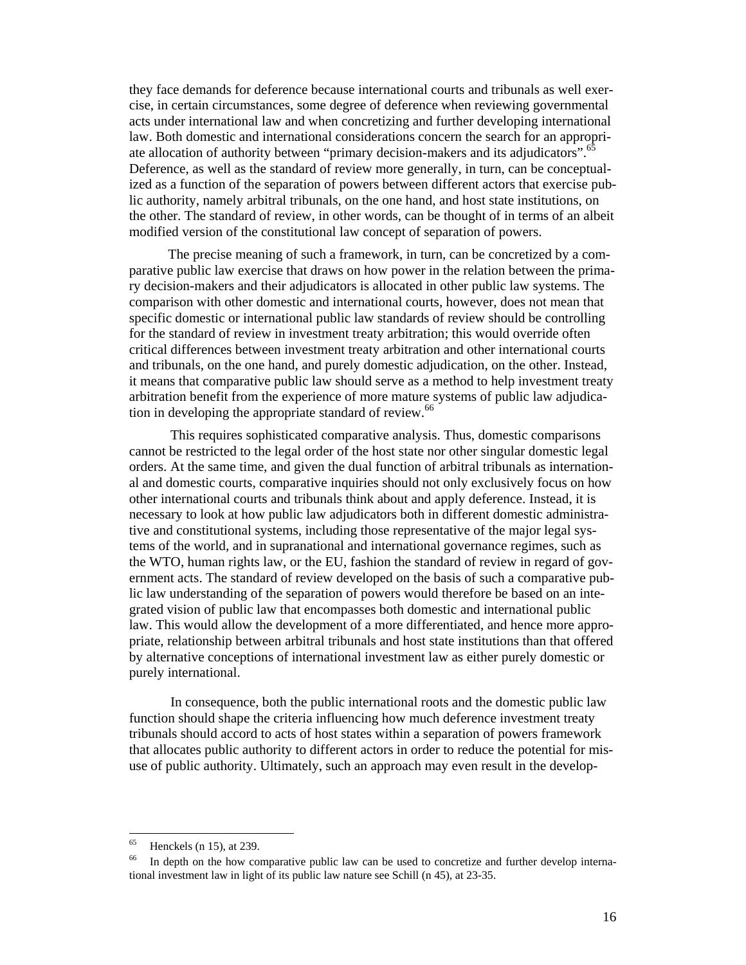they face demands for deference because international courts and tribunals as well exercise, in certain circumstances, some degree of deference when reviewing governmental acts under international law and when concretizing and further developing international law. Both domestic and international considerations concern the search for an appropriate allocation of authority between "primary decision-makers and its adjudicators". Deference, as well as the standard of review more generally, in turn, can be conceptualized as a function of the separation of powers between different actors that exercise public authority, namely arbitral tribunals, on the one hand, and host state institutions, on the other. The standard of review, in other words, can be thought of in terms of an albeit modified version of the constitutional law concept of separation of powers.

The precise meaning of such a framework, in turn, can be concretized by a comparative public law exercise that draws on how power in the relation between the primary decision-makers and their adjudicators is allocated in other public law systems. The comparison with other domestic and international courts, however, does not mean that specific domestic or international public law standards of review should be controlling for the standard of review in investment treaty arbitration; this would override often critical differences between investment treaty arbitration and other international courts and tribunals, on the one hand, and purely domestic adjudication, on the other. Instead, it means that comparative public law should serve as a method to help investment treaty arbitration benefit from the experience of more mature systems of public law adjudication in developing the appropriate standard of review.<sup>66</sup>

This requires sophisticated comparative analysis. Thus, domestic comparisons cannot be restricted to the legal order of the host state nor other singular domestic legal orders. At the same time, and given the dual function of arbitral tribunals as international and domestic courts, comparative inquiries should not only exclusively focus on how other international courts and tribunals think about and apply deference. Instead, it is necessary to look at how public law adjudicators both in different domestic administrative and constitutional systems, including those representative of the major legal systems of the world, and in supranational and international governance regimes, such as the WTO, human rights law, or the EU, fashion the standard of review in regard of government acts. The standard of review developed on the basis of such a comparative public law understanding of the separation of powers would therefore be based on an integrated vision of public law that encompasses both domestic and international public law. This would allow the development of a more differentiated, and hence more appropriate, relationship between arbitral tribunals and host state institutions than that offered by alternative conceptions of international investment law as either purely domestic or purely international.

In consequence, both the public international roots and the domestic public law function should shape the criteria influencing how much deference investment treaty tribunals should accord to acts of host states within a separation of powers framework that allocates public authority to different actors in order to reduce the potential for misuse of public authority. Ultimately, such an approach may even result in the develop-

<sup>65</sup> Henckels (n 15), at 239.

<sup>&</sup>lt;sup>66</sup> In depth on the how comparative public law can be used to concretize and further develop international investment law in light of its public law nature see Schill (n 45), at 23-35.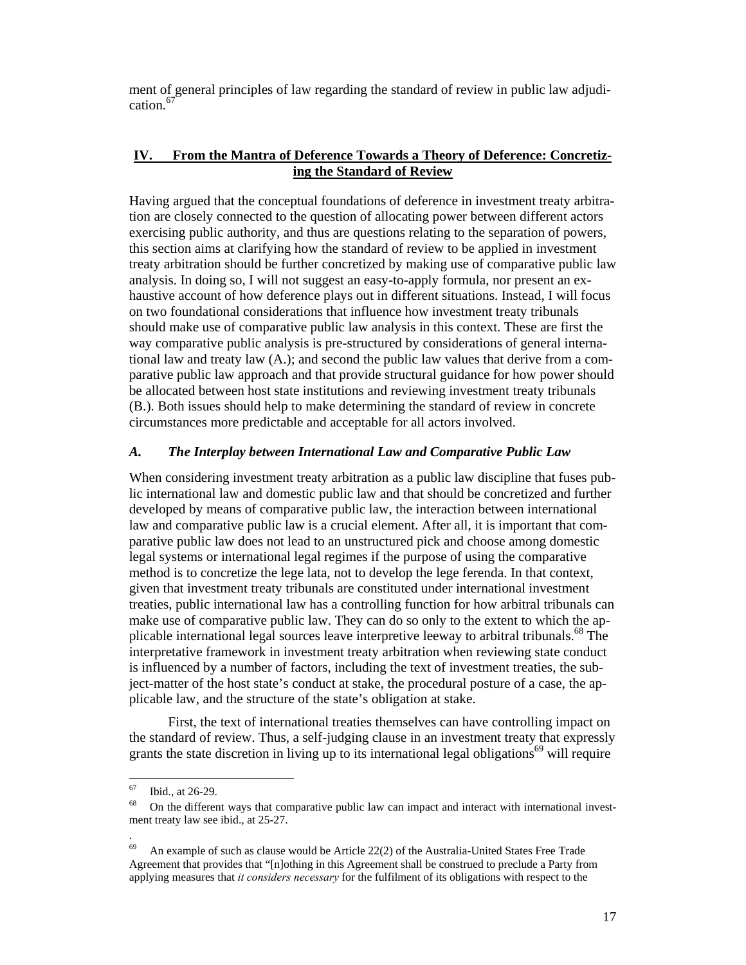ment of general principles of law regarding the standard of review in public law adjudication.<sup>67</sup>

### **IV. From the Mantra of Deference Towards a Theory of Deference: Concretizing the Standard of Review**

Having argued that the conceptual foundations of deference in investment treaty arbitration are closely connected to the question of allocating power between different actors exercising public authority, and thus are questions relating to the separation of powers, this section aims at clarifying how the standard of review to be applied in investment treaty arbitration should be further concretized by making use of comparative public law analysis. In doing so, I will not suggest an easy-to-apply formula, nor present an exhaustive account of how deference plays out in different situations. Instead, I will focus on two foundational considerations that influence how investment treaty tribunals should make use of comparative public law analysis in this context. These are first the way comparative public analysis is pre-structured by considerations of general international law and treaty law (A.); and second the public law values that derive from a comparative public law approach and that provide structural guidance for how power should be allocated between host state institutions and reviewing investment treaty tribunals (B.). Both issues should help to make determining the standard of review in concrete circumstances more predictable and acceptable for all actors involved.

#### *A. The Interplay between International Law and Comparative Public Law*

When considering investment treaty arbitration as a public law discipline that fuses public international law and domestic public law and that should be concretized and further developed by means of comparative public law, the interaction between international law and comparative public law is a crucial element. After all, it is important that comparative public law does not lead to an unstructured pick and choose among domestic legal systems or international legal regimes if the purpose of using the comparative method is to concretize the lege lata, not to develop the lege ferenda. In that context, given that investment treaty tribunals are constituted under international investment treaties, public international law has a controlling function for how arbitral tribunals can make use of comparative public law. They can do so only to the extent to which the applicable international legal sources leave interpretive leeway to arbitral tribunals.<sup>68</sup> The interpretative framework in investment treaty arbitration when reviewing state conduct is influenced by a number of factors, including the text of investment treaties, the subject-matter of the host state's conduct at stake, the procedural posture of a case, the applicable law, and the structure of the state's obligation at stake.

First, the text of international treaties themselves can have controlling impact on the standard of review. Thus, a self-judging clause in an investment treaty that expressly grants the state discretion in living up to its international legal obligations<sup>69</sup> will require

 $\overline{a}$ 

.

<sup>67</sup> Ibid., at 26-29.

 $68$  On the different ways that comparative public law can impact and interact with international investment treaty law see ibid., at 25-27.

 $69$  An example of such as clause would be Article 22(2) of the Australia-United States Free Trade Agreement that provides that "[n]othing in this Agreement shall be construed to preclude a Party from applying measures that *it considers necessary* for the fulfilment of its obligations with respect to the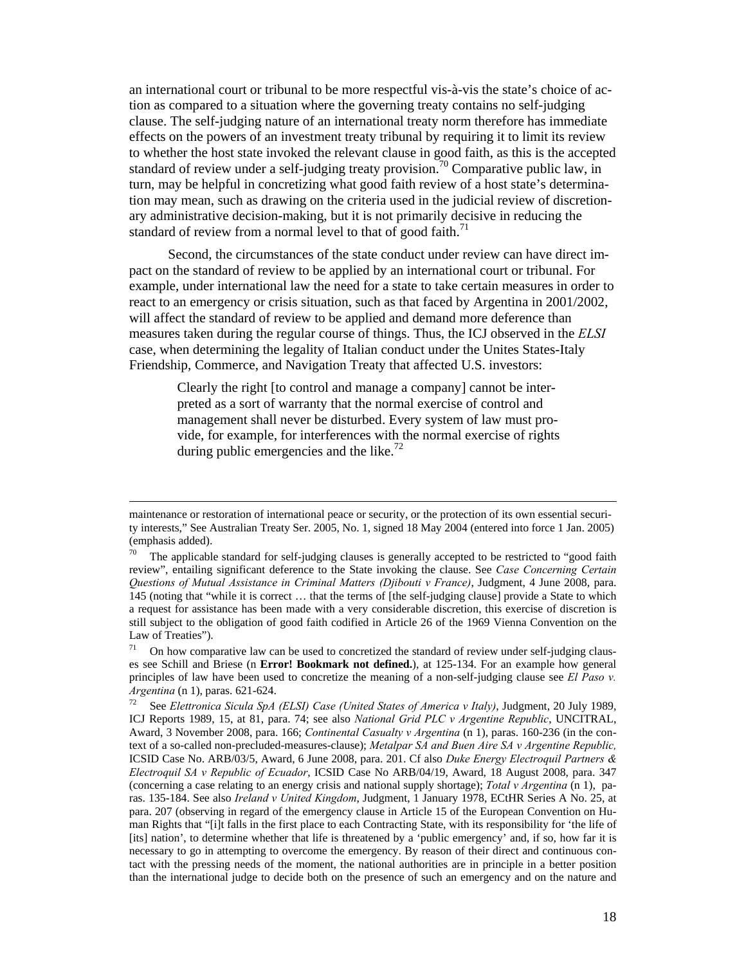an international court or tribunal to be more respectful vis-à-vis the state's choice of action as compared to a situation where the governing treaty contains no self-judging clause. The self-judging nature of an international treaty norm therefore has immediate effects on the powers of an investment treaty tribunal by requiring it to limit its review to whether the host state invoked the relevant clause in good faith, as this is the accepted standard of review under a self-judging treaty provision.<sup>70</sup> Comparative public law, in turn, may be helpful in concretizing what good faith review of a host state's determination may mean, such as drawing on the criteria used in the judicial review of discretionary administrative decision-making, but it is not primarily decisive in reducing the standard of review from a normal level to that of good faith.<sup>71</sup>

Second, the circumstances of the state conduct under review can have direct impact on the standard of review to be applied by an international court or tribunal. For example, under international law the need for a state to take certain measures in order to react to an emergency or crisis situation, such as that faced by Argentina in 2001/2002, will affect the standard of review to be applied and demand more deference than measures taken during the regular course of things. Thus, the ICJ observed in the *ELSI* case, when determining the legality of Italian conduct under the Unites States-Italy Friendship, Commerce, and Navigation Treaty that affected U.S. investors:

Clearly the right [to control and manage a company] cannot be interpreted as a sort of warranty that the normal exercise of control and management shall never be disturbed. Every system of law must provide, for example, for interferences with the normal exercise of rights during public emergencies and the like.<sup>72</sup>

maintenance or restoration of international peace or security, or the protection of its own essential security interests," See Australian Treaty Ser. 2005, No. 1, signed 18 May 2004 (entered into force 1 Jan. 2005) (emphasis added).

The applicable standard for self-judging clauses is generally accepted to be restricted to "good faith" review", entailing significant deference to the State invoking the clause. See *Case Concerning Certain Questions of Mutual Assistance in Criminal Matters (Djibouti v France)*, Judgment, 4 June 2008, para. 145 (noting that "while it is correct … that the terms of [the self-judging clause] provide a State to which a request for assistance has been made with a very considerable discretion, this exercise of discretion is still subject to the obligation of good faith codified in Article 26 of the 1969 Vienna Convention on the Law of Treaties").<br> $\frac{71}{2}$  On how comp

On how comparative law can be used to concretized the standard of review under self-judging clauses see Schill and Briese (n **Error! Bookmark not defined.**), at 125-134. For an example how general principles of law have been used to concretize the meaning of a non-self-judging clause see *El Paso v. Argentina* (n 1), paras. 621-624.<br><sup>72</sup> See *Elettronica Sicula SpA (ELSI) Case (United States of America v Italy)*, Judgment, 20 July 1989,

ICJ Reports 1989, 15, at 81, para. 74; see also *National Grid PLC v Argentine Republic*, UNCITRAL, Award, 3 November 2008, para. 166; *Continental Casualty v Argentina* (n 1), paras. 160-236 (in the context of a so-called non-precluded-measures-clause); *Metalpar SA and Buen Aire SA v Argentine Republic,*  ICSID Case No. ARB/03/5, Award, 6 June 2008, para. 201. Cf also *Duke Energy Electroquil Partners & Electroquil SA v Republic of Ecuador*, ICSID Case No ARB/04/19, Award, 18 August 2008, para. 347 (concerning a case relating to an energy crisis and national supply shortage); *Total v Argentina* (n 1), paras. 135-184. See also *Ireland v United Kingdom*, Judgment, 1 January 1978, ECtHR Series A No. 25, at para. 207 (observing in regard of the emergency clause in Article 15 of the European Convention on Human Rights that "[i]t falls in the first place to each Contracting State, with its responsibility for 'the life of [its] nation', to determine whether that life is threatened by a 'public emergency' and, if so, how far it is necessary to go in attempting to overcome the emergency. By reason of their direct and continuous contact with the pressing needs of the moment, the national authorities are in principle in a better position than the international judge to decide both on the presence of such an emergency and on the nature and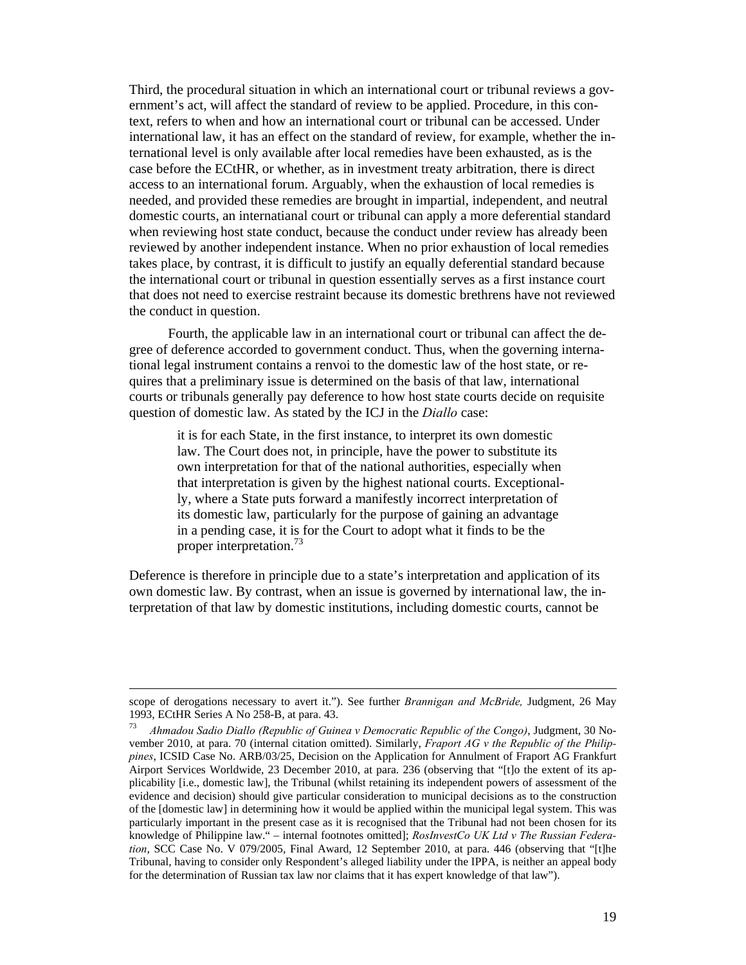Third, the procedural situation in which an international court or tribunal reviews a government's act, will affect the standard of review to be applied. Procedure, in this context, refers to when and how an international court or tribunal can be accessed. Under international law, it has an effect on the standard of review, for example, whether the international level is only available after local remedies have been exhausted, as is the case before the ECtHR, or whether, as in investment treaty arbitration, there is direct access to an international forum. Arguably, when the exhaustion of local remedies is needed, and provided these remedies are brought in impartial, independent, and neutral domestic courts, an internatianal court or tribunal can apply a more deferential standard when reviewing host state conduct, because the conduct under review has already been reviewed by another independent instance. When no prior exhaustion of local remedies takes place, by contrast, it is difficult to justify an equally deferential standard because the international court or tribunal in question essentially serves as a first instance court that does not need to exercise restraint because its domestic brethrens have not reviewed the conduct in question.

Fourth, the applicable law in an international court or tribunal can affect the degree of deference accorded to government conduct. Thus, when the governing international legal instrument contains a renvoi to the domestic law of the host state, or requires that a preliminary issue is determined on the basis of that law, international courts or tribunals generally pay deference to how host state courts decide on requisite question of domestic law. As stated by the ICJ in the *Diallo* case:

it is for each State, in the first instance, to interpret its own domestic law. The Court does not, in principle, have the power to substitute its own interpretation for that of the national authorities, especially when that interpretation is given by the highest national courts. Exceptionally, where a State puts forward a manifestly incorrect interpretation of its domestic law, particularly for the purpose of gaining an advantage in a pending case, it is for the Court to adopt what it finds to be the proper interpretation.<sup>73</sup>

Deference is therefore in principle due to a state's interpretation and application of its own domestic law. By contrast, when an issue is governed by international law, the interpretation of that law by domestic institutions, including domestic courts, cannot be

scope of derogations necessary to avert it."). See further *Brannigan and McBride,* Judgment, 26 May 1993, ECtHR Series A No 258-B, at para. 43.

<sup>73</sup> *Ahmadou Sadio Diallo (Republic of Guinea v Democratic Republic of the Congo)*, Judgment, 30 November 2010, at para. 70 (internal citation omitted). Similarly, *Fraport AG v the Republic of the Philippines*, ICSID Case No. ARB/03/25, Decision on the Application for Annulment of Fraport AG Frankfurt Airport Services Worldwide, 23 December 2010, at para. 236 (observing that "[t]o the extent of its applicability [i.e., domestic law], the Tribunal (whilst retaining its independent powers of assessment of the evidence and decision) should give particular consideration to municipal decisions as to the construction of the [domestic law] in determining how it would be applied within the municipal legal system. This was particularly important in the present case as it is recognised that the Tribunal had not been chosen for its knowledge of Philippine law." – internal footnotes omitted]; *RosInvestCo UK Ltd v The Russian Federation*, SCC Case No. V 079/2005, Final Award, 12 September 2010, at para. 446 (observing that "[t]he Tribunal, having to consider only Respondent's alleged liability under the IPPA, is neither an appeal body for the determination of Russian tax law nor claims that it has expert knowledge of that law").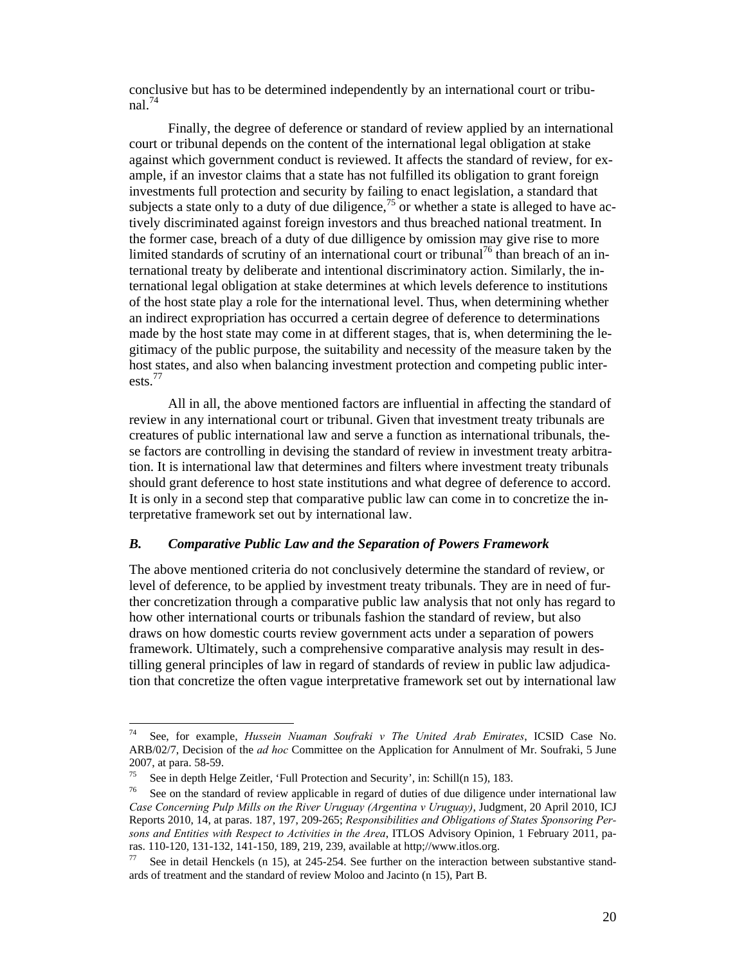conclusive but has to be determined independently by an international court or tribunal. $74$ 

Finally, the degree of deference or standard of review applied by an international court or tribunal depends on the content of the international legal obligation at stake against which government conduct is reviewed. It affects the standard of review, for example, if an investor claims that a state has not fulfilled its obligation to grant foreign investments full protection and security by failing to enact legislation, a standard that subjects a state only to a duty of due diligence,<sup>75</sup> or whether a state is alleged to have actively discriminated against foreign investors and thus breached national treatment. In the former case, breach of a duty of due dilligence by omission may give rise to more limited standards of scrutiny of an international court or tribunal<sup>76</sup> than breach of an international treaty by deliberate and intentional discriminatory action. Similarly, the international legal obligation at stake determines at which levels deference to institutions of the host state play a role for the international level. Thus, when determining whether an indirect expropriation has occurred a certain degree of deference to determinations made by the host state may come in at different stages, that is, when determining the legitimacy of the public purpose, the suitability and necessity of the measure taken by the host states, and also when balancing investment protection and competing public interests.<sup>77</sup>

All in all, the above mentioned factors are influential in affecting the standard of review in any international court or tribunal. Given that investment treaty tribunals are creatures of public international law and serve a function as international tribunals, these factors are controlling in devising the standard of review in investment treaty arbitration. It is international law that determines and filters where investment treaty tribunals should grant deference to host state institutions and what degree of deference to accord. It is only in a second step that comparative public law can come in to concretize the interpretative framework set out by international law.

#### *B. Comparative Public Law and the Separation of Powers Framework*

The above mentioned criteria do not conclusively determine the standard of review, or level of deference, to be applied by investment treaty tribunals. They are in need of further concretization through a comparative public law analysis that not only has regard to how other international courts or tribunals fashion the standard of review, but also draws on how domestic courts review government acts under a separation of powers framework. Ultimately, such a comprehensive comparative analysis may result in destilling general principles of law in regard of standards of review in public law adjudication that concretize the often vague interpretative framework set out by international law

 $74$ 74 See, for example, *Hussein Nuaman Soufraki v The United Arab Emirates*, ICSID Case No. ARB/02/7, Decision of the *ad hoc* Committee on the Application for Annulment of Mr. Soufraki, 5 June 2007, at para. 58-59.

<sup>75</sup> See in depth Helge Zeitler, 'Full Protection and Security', in: Schill(n 15), 183.

 $76$  See on the standard of review applicable in regard of duties of due diligence under international law *Case Concerning Pulp Mills on the River Uruguay (Argentina v Uruguay)*, Judgment, 20 April 2010, ICJ Reports 2010, 14, at paras. 187, 197, 209-265; *Responsibilities and Obligations of States Sponsoring Persons and Entities with Respect to Activities in the Area*, ITLOS Advisory Opinion, 1 February 2011, paras. 110-120, 131-132, 141-150, 189, 219, 239, available at http;//www.itlos.org.<br><sup>77</sup> See in detail Henckels (n 15), at 245-254. See further on the interaction between substantive stand-

ards of treatment and the standard of review Moloo and Jacinto (n 15), Part B.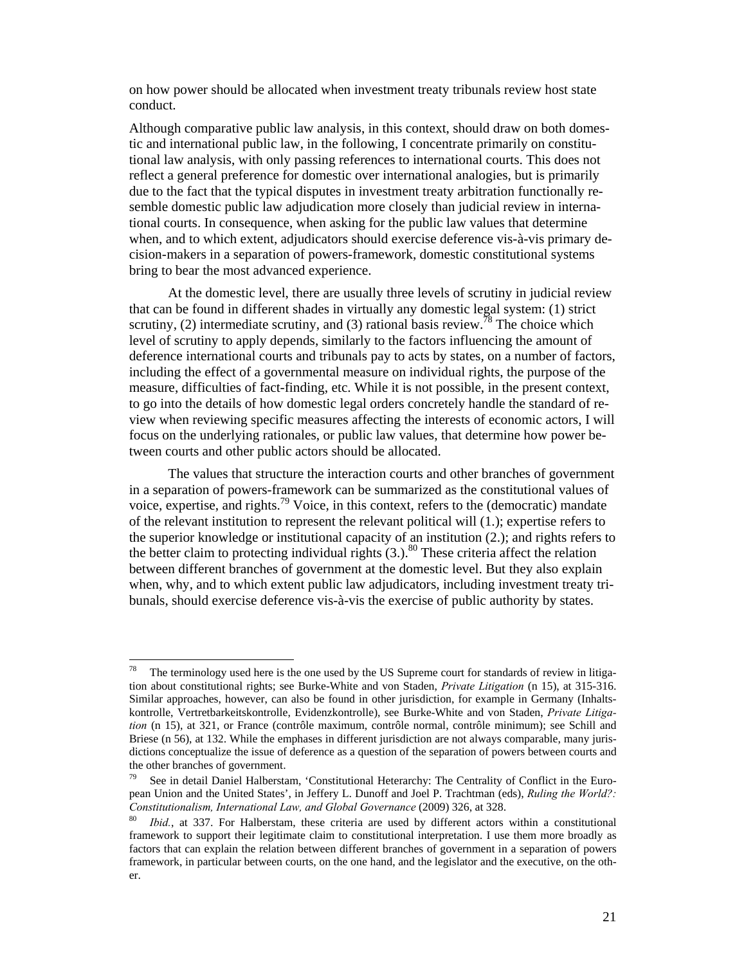on how power should be allocated when investment treaty tribunals review host state conduct.

Although comparative public law analysis, in this context, should draw on both domestic and international public law, in the following, I concentrate primarily on constitutional law analysis, with only passing references to international courts. This does not reflect a general preference for domestic over international analogies, but is primarily due to the fact that the typical disputes in investment treaty arbitration functionally resemble domestic public law adjudication more closely than judicial review in international courts. In consequence, when asking for the public law values that determine when, and to which extent, adjudicators should exercise deference vis-à-vis primary decision-makers in a separation of powers-framework, domestic constitutional systems bring to bear the most advanced experience.

At the domestic level, there are usually three levels of scrutiny in judicial review that can be found in different shades in virtually any domestic legal system: (1) strict scrutiny, (2) intermediate scrutiny, and (3) rational basis review.<sup>78</sup> The choice which level of scrutiny to apply depends, similarly to the factors influencing the amount of deference international courts and tribunals pay to acts by states, on a number of factors, including the effect of a governmental measure on individual rights, the purpose of the measure, difficulties of fact-finding, etc. While it is not possible, in the present context, to go into the details of how domestic legal orders concretely handle the standard of review when reviewing specific measures affecting the interests of economic actors, I will focus on the underlying rationales, or public law values, that determine how power between courts and other public actors should be allocated.

The values that structure the interaction courts and other branches of government in a separation of powers-framework can be summarized as the constitutional values of voice, expertise, and rights.<sup>79</sup> Voice, in this context, refers to the (democratic) mandate of the relevant institution to represent the relevant political will (1.); expertise refers to the superior knowledge or institutional capacity of an institution (2.); and rights refers to the better claim to protecting individual rights  $(3.)$ <sup>80</sup> These criteria affect the relation between different branches of government at the domestic level. But they also explain when, why, and to which extent public law adjudicators, including investment treaty tribunals, should exercise deference vis-à-vis the exercise of public authority by states.

 $78\,$ The terminology used here is the one used by the US Supreme court for standards of review in litigation about constitutional rights; see Burke-White and von Staden, *Private Litigation* (n 15), at 315-316. Similar approaches, however, can also be found in other jurisdiction, for example in Germany (Inhaltskontrolle, Vertretbarkeitskontrolle, Evidenzkontrolle), see Burke-White and von Staden, *Private Litigation* (n 15), at 321, or France (contrôle maximum, contrôle normal, contrôle minimum); see Schill and Briese (n 56), at 132. While the emphases in different jurisdiction are not always comparable, many jurisdictions conceptualize the issue of deference as a question of the separation of powers between courts and the other branches of government.

<sup>&</sup>lt;sup>79</sup> See in detail Daniel Halberstam, 'Constitutional Heterarchy: The Centrality of Conflict in the European Union and the United States', in Jeffery L. Dunoff and Joel P. Trachtman (eds), *Ruling the World?: Constitutionalism, International Law, and Global Governance* (2009) 326, at 328.<br><sup>80</sup> *Ibid.*, at 337. For Halberstam, these criteria are used by different actors within a constitutional

framework to support their legitimate claim to constitutional interpretation. I use them more broadly as factors that can explain the relation between different branches of government in a separation of powers framework, in particular between courts, on the one hand, and the legislator and the executive, on the other.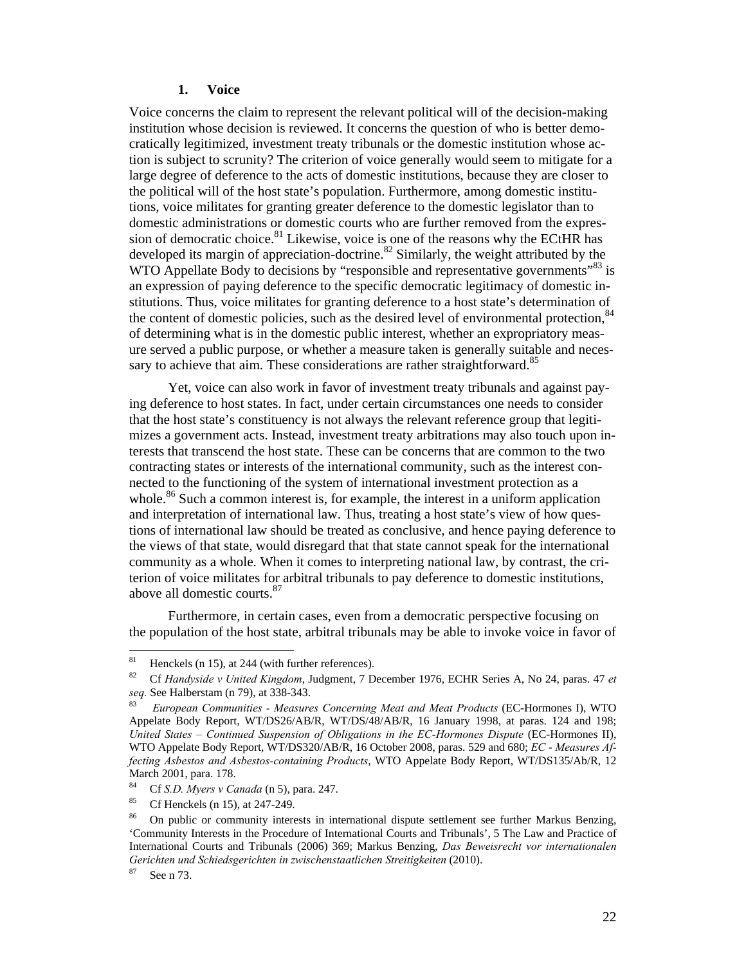#### **1. Voice**

Voice concerns the claim to represent the relevant political will of the decision-making institution whose decision is reviewed. It concerns the question of who is better democratically legitimized, investment treaty tribunals or the domestic institution whose action is subject to scrunity? The criterion of voice generally would seem to mitigate for a large degree of deference to the acts of domestic institutions, because they are closer to the political will of the host state's population. Furthermore, among domestic institutions, voice militates for granting greater deference to the domestic legislator than to domestic administrations or domestic courts who are further removed from the expression of democratic choice.<sup>81</sup> Likewise, voice is one of the reasons why the ECtHR has developed its margin of appreciation-doctrine.<sup>82</sup> Similarly, the weight attributed by the WTO Appellate Body to decisions by "responsible and representative governments"<sup>83</sup> is an expression of paying deference to the specific democratic legitimacy of domestic institutions. Thus, voice militates for granting deference to a host state's determination of the content of domestic policies, such as the desired level of environmental protection,  $84$ of determining what is in the domestic public interest, whether an expropriatory measure served a public purpose, or whether a measure taken is generally suitable and necessary to achieve that aim. These considerations are rather straightforward.<sup>85</sup>

Yet, voice can also work in favor of investment treaty tribunals and against paying deference to host states. In fact, under certain circumstances one needs to consider that the host state's constituency is not always the relevant reference group that legitimizes a government acts. Instead, investment treaty arbitrations may also touch upon interests that transcend the host state. These can be concerns that are common to the two contracting states or interests of the international community, such as the interest connected to the functioning of the system of international investment protection as a whole.<sup>86</sup> Such a common interest is, for example, the interest in a uniform application and interpretation of international law. Thus, treating a host state's view of how questions of international law should be treated as conclusive, and hence paying deference to the views of that state, would disregard that that state cannot speak for the international community as a whole. When it comes to interpreting national law, by contrast, the criterion of voice militates for arbitral tribunals to pay deference to domestic institutions, above all domestic courts.<sup>87</sup>

Furthermore, in certain cases, even from a democratic perspective focusing on the population of the host state, arbitral tribunals may be able to invoke voice in favor of

<sup>81</sup> Henckels (n 15), at 244 (with further references).

<sup>82</sup> Cf *Handyside v United Kingdom*, Judgment, 7 December 1976, ECHR Series A, No 24, paras. 47 *et seq.* See Halberstam (n 79), at 338-343. 83 *European Communities - Measures Concerning Meat and Meat Products* (EC-Hormones I), WTO

Appelate Body Report, WT/DS26/AB/R, WT/DS/48/AB/R, 16 January 1998, at paras. 124 and 198; *United States - Continued Suspension of Obligations in the EC-Hormones Dispute* (EC-Hormones II), WTO Appelate Body Report, WT/DS320/AB/R, 16 October 2008, paras. 529 and 680; *EC* - *Measures Affecting Asbestos and Asbestos-containing Products*, WTO Appelate Body Report, WT/DS135/Ab/R, 12 March 2001, para. 178.<br><sup>84</sup> Cf S.D. Magns v.Co.

<sup>84</sup> Cf *S.D. Myers v Canada* (n 5), para. 247. 85 Cf Henckels (n 15), at 247-249.

<sup>&</sup>lt;sup>86</sup> On public or community interests in international dispute settlement see further Markus Benzing, 'Community Interests in the Procedure of International Courts and Tribunals', 5 The Law and Practice of International Courts and Tribunals (2006) 369; Markus Benzing, *Das Beweisrecht vor internationalen Gerichten und Schiedsgerichten in zwischenstaatlichen Streitigkeiten* (2010).<br><sup>87</sup> See n 73.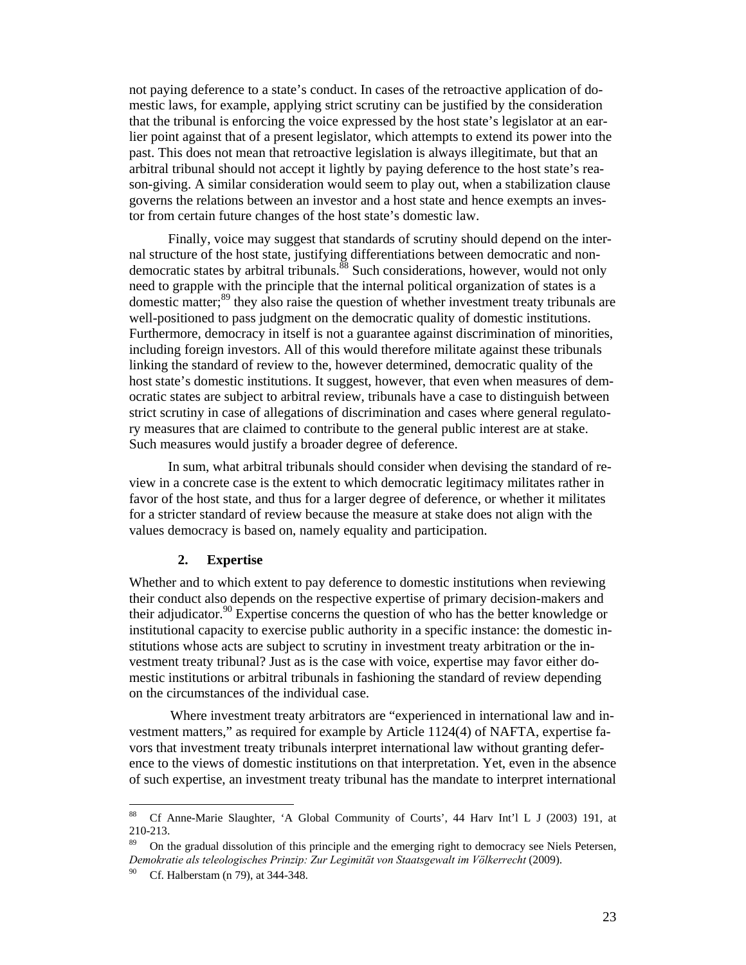not paying deference to a state's conduct. In cases of the retroactive application of domestic laws, for example, applying strict scrutiny can be justified by the consideration that the tribunal is enforcing the voice expressed by the host state's legislator at an earlier point against that of a present legislator, which attempts to extend its power into the past. This does not mean that retroactive legislation is always illegitimate, but that an arbitral tribunal should not accept it lightly by paying deference to the host state's reason-giving. A similar consideration would seem to play out, when a stabilization clause governs the relations between an investor and a host state and hence exempts an investor from certain future changes of the host state's domestic law.

Finally, voice may suggest that standards of scrutiny should depend on the internal structure of the host state, justifying differentiations between democratic and nondemocratic states by arbitral tribunals.<sup>88</sup> Such considerations, however, would not only need to grapple with the principle that the internal political organization of states is a domestic matter;<sup>89</sup> they also raise the question of whether investment treaty tribunals are well-positioned to pass judgment on the democratic quality of domestic institutions. Furthermore, democracy in itself is not a guarantee against discrimination of minorities, including foreign investors. All of this would therefore militate against these tribunals linking the standard of review to the, however determined, democratic quality of the host state's domestic institutions. It suggest, however, that even when measures of democratic states are subject to arbitral review, tribunals have a case to distinguish between strict scrutiny in case of allegations of discrimination and cases where general regulatory measures that are claimed to contribute to the general public interest are at stake. Such measures would justify a broader degree of deference.

In sum, what arbitral tribunals should consider when devising the standard of review in a concrete case is the extent to which democratic legitimacy militates rather in favor of the host state, and thus for a larger degree of deference, or whether it militates for a stricter standard of review because the measure at stake does not align with the values democracy is based on, namely equality and participation.

#### **2. Expertise**

Whether and to which extent to pay deference to domestic institutions when reviewing their conduct also depends on the respective expertise of primary decision-makers and their adjudicator.<sup>90</sup> Expertise concerns the question of who has the better knowledge or institutional capacity to exercise public authority in a specific instance: the domestic institutions whose acts are subject to scrutiny in investment treaty arbitration or the investment treaty tribunal? Just as is the case with voice, expertise may favor either domestic institutions or arbitral tribunals in fashioning the standard of review depending on the circumstances of the individual case.

Where investment treaty arbitrators are "experienced in international law and investment matters," as required for example by Article 1124(4) of NAFTA, expertise favors that investment treaty tribunals interpret international law without granting deference to the views of domestic institutions on that interpretation. Yet, even in the absence of such expertise, an investment treaty tribunal has the mandate to interpret international

<sup>88</sup> 88 Cf Anne-Marie Slaughter, 'A Global Community of Courts', 44 Harv Int'l L J (2003) 191, at 210-213.

<sup>89</sup> On the gradual dissolution of this principle and the emerging right to democracy see Niels Petersen, *Demokratie als teleologisches Prinzip: Zur Legimität von Staatsgewalt im Völkerrecht* (2009).<br><sup>90</sup> Cf. Halberstam (n 79), at 344-348.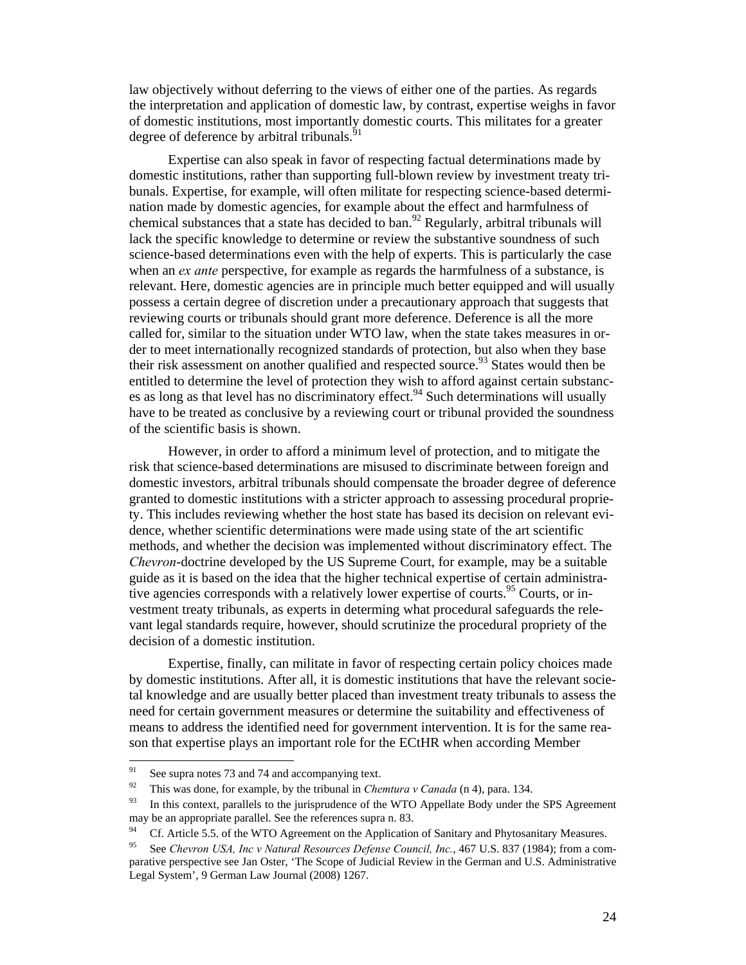law objectively without deferring to the views of either one of the parties. As regards the interpretation and application of domestic law, by contrast, expertise weighs in favor of domestic institutions, most importantly domestic courts. This militates for a greater degree of deference by arbitral tribunals.<sup>9</sup>

Expertise can also speak in favor of respecting factual determinations made by domestic institutions, rather than supporting full-blown review by investment treaty tribunals. Expertise, for example, will often militate for respecting science-based determination made by domestic agencies, for example about the effect and harmfulness of chemical substances that a state has decided to ban.<sup>92</sup> Regularly, arbitral tribunals will lack the specific knowledge to determine or review the substantive soundness of such science-based determinations even with the help of experts. This is particularly the case when an *ex ante* perspective, for example as regards the harmfulness of a substance, is relevant. Here, domestic agencies are in principle much better equipped and will usually possess a certain degree of discretion under a precautionary approach that suggests that reviewing courts or tribunals should grant more deference. Deference is all the more called for, similar to the situation under WTO law, when the state takes measures in order to meet internationally recognized standards of protection, but also when they base their risk assessment on another qualified and respected source.<sup>93</sup> States would then be entitled to determine the level of protection they wish to afford against certain substances as long as that level has no discriminatory effect.<sup>94</sup> Such determinations will usually have to be treated as conclusive by a reviewing court or tribunal provided the soundness of the scientific basis is shown.

However, in order to afford a minimum level of protection, and to mitigate the risk that science-based determinations are misused to discriminate between foreign and domestic investors, arbitral tribunals should compensate the broader degree of deference granted to domestic institutions with a stricter approach to assessing procedural propriety. This includes reviewing whether the host state has based its decision on relevant evidence, whether scientific determinations were made using state of the art scientific methods, and whether the decision was implemented without discriminatory effect. The *Chevron*-doctrine developed by the US Supreme Court, for example, may be a suitable guide as it is based on the idea that the higher technical expertise of certain administrative agencies corresponds with a relatively lower expertise of courts.<sup>95</sup> Courts, or investment treaty tribunals, as experts in determing what procedural safeguards the relevant legal standards require, however, should scrutinize the procedural propriety of the decision of a domestic institution.

Expertise, finally, can militate in favor of respecting certain policy choices made by domestic institutions. After all, it is domestic institutions that have the relevant societal knowledge and are usually better placed than investment treaty tribunals to assess the need for certain government measures or determine the suitability and effectiveness of means to address the identified need for government intervention. It is for the same reason that expertise plays an important role for the ECtHR when according Member

<sup>91</sup> <sup>91</sup> See supra notes 73 and 74 and accompanying text.

This was done, for example, by the tribunal in *Chemtura v Canada* (n 4), para. 134. In this context, parallels to the jurisprudence of the WTO Appellate Body under the SPS Agreement may be an appropriate parallel. See the references supra n. 83.

Cf. Article 5.5. of the WTO Agreement on the Application of Sanitary and Phytosanitary Measures.

<sup>95</sup> See *Chevron USA, Inc v Natural Resources Defense Council, Inc.*, 467 U.S. 837 (1984); from a comparative perspective see Jan Oster, 'The Scope of Judicial Review in the German and U.S. Administrative Legal System', 9 German Law Journal (2008) 1267.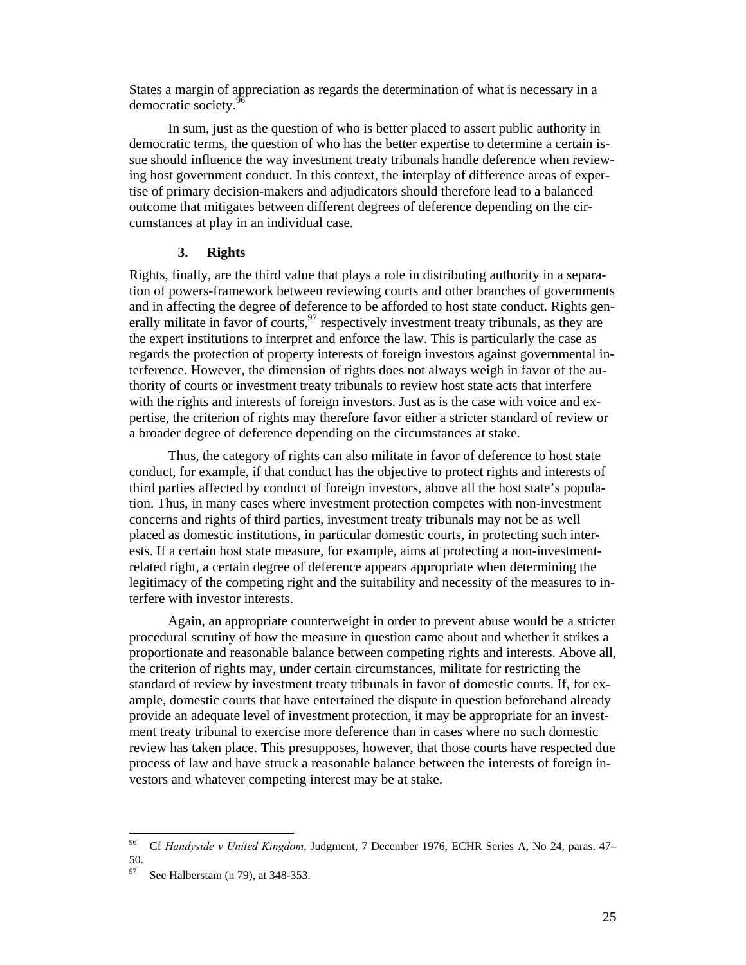States a margin of appreciation as regards the determination of what is necessary in a democratic society.<sup>9</sup>

In sum, just as the question of who is better placed to assert public authority in democratic terms, the question of who has the better expertise to determine a certain issue should influence the way investment treaty tribunals handle deference when reviewing host government conduct. In this context, the interplay of difference areas of expertise of primary decision-makers and adjudicators should therefore lead to a balanced outcome that mitigates between different degrees of deference depending on the circumstances at play in an individual case.

#### **3. Rights**

Rights, finally, are the third value that plays a role in distributing authority in a separation of powers-framework between reviewing courts and other branches of governments and in affecting the degree of deference to be afforded to host state conduct. Rights generally militate in favor of courts,  $\frac{97}{7}$  respectively investment treaty tribunals, as they are the expert institutions to interpret and enforce the law. This is particularly the case as regards the protection of property interests of foreign investors against governmental interference. However, the dimension of rights does not always weigh in favor of the authority of courts or investment treaty tribunals to review host state acts that interfere with the rights and interests of foreign investors. Just as is the case with voice and expertise, the criterion of rights may therefore favor either a stricter standard of review or a broader degree of deference depending on the circumstances at stake.

Thus, the category of rights can also militate in favor of deference to host state conduct, for example, if that conduct has the objective to protect rights and interests of third parties affected by conduct of foreign investors, above all the host state's population. Thus, in many cases where investment protection competes with non-investment concerns and rights of third parties, investment treaty tribunals may not be as well placed as domestic institutions, in particular domestic courts, in protecting such interests. If a certain host state measure, for example, aims at protecting a non-investmentrelated right, a certain degree of deference appears appropriate when determining the legitimacy of the competing right and the suitability and necessity of the measures to interfere with investor interests.

Again, an appropriate counterweight in order to prevent abuse would be a stricter procedural scrutiny of how the measure in question came about and whether it strikes a proportionate and reasonable balance between competing rights and interests. Above all, the criterion of rights may, under certain circumstances, militate for restricting the standard of review by investment treaty tribunals in favor of domestic courts. If, for example, domestic courts that have entertained the dispute in question beforehand already provide an adequate level of investment protection, it may be appropriate for an investment treaty tribunal to exercise more deference than in cases where no such domestic review has taken place. This presupposes, however, that those courts have respected due process of law and have struck a reasonable balance between the interests of foreign investors and whatever competing interest may be at stake.

<sup>96</sup> 96 Cf *Handyside v United Kingdom*, Judgment, 7 December 1976, ECHR Series A, No 24, paras. 47– 50.

See Halberstam (n 79), at 348-353.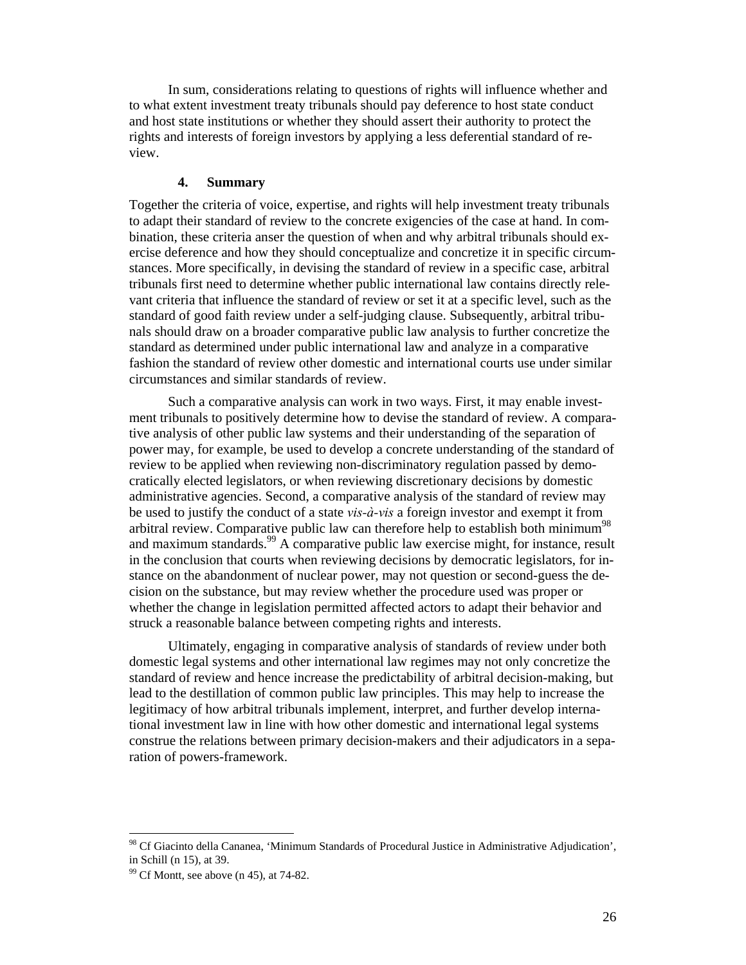In sum, considerations relating to questions of rights will influence whether and to what extent investment treaty tribunals should pay deference to host state conduct and host state institutions or whether they should assert their authority to protect the rights and interests of foreign investors by applying a less deferential standard of review.

#### **4. Summary**

Together the criteria of voice, expertise, and rights will help investment treaty tribunals to adapt their standard of review to the concrete exigencies of the case at hand. In combination, these criteria anser the question of when and why arbitral tribunals should exercise deference and how they should conceptualize and concretize it in specific circumstances. More specifically, in devising the standard of review in a specific case, arbitral tribunals first need to determine whether public international law contains directly relevant criteria that influence the standard of review or set it at a specific level, such as the standard of good faith review under a self-judging clause. Subsequently, arbitral tribunals should draw on a broader comparative public law analysis to further concretize the standard as determined under public international law and analyze in a comparative fashion the standard of review other domestic and international courts use under similar circumstances and similar standards of review.

Such a comparative analysis can work in two ways. First, it may enable investment tribunals to positively determine how to devise the standard of review. A comparative analysis of other public law systems and their understanding of the separation of power may, for example, be used to develop a concrete understanding of the standard of review to be applied when reviewing non-discriminatory regulation passed by democratically elected legislators, or when reviewing discretionary decisions by domestic administrative agencies. Second, a comparative analysis of the standard of review may be used to justify the conduct of a state *vis-à-vis* a foreign investor and exempt it from arbitral review. Comparative public law can therefore help to establish both minimum<sup>98</sup> and maximum standards.<sup>99</sup> A comparative public law exercise might, for instance, result in the conclusion that courts when reviewing decisions by democratic legislators, for instance on the abandonment of nuclear power, may not question or second-guess the decision on the substance, but may review whether the procedure used was proper or whether the change in legislation permitted affected actors to adapt their behavior and struck a reasonable balance between competing rights and interests.

Ultimately, engaging in comparative analysis of standards of review under both domestic legal systems and other international law regimes may not only concretize the standard of review and hence increase the predictability of arbitral decision-making, but lead to the destillation of common public law principles. This may help to increase the legitimacy of how arbitral tribunals implement, interpret, and further develop international investment law in line with how other domestic and international legal systems construe the relations between primary decision-makers and their adjudicators in a separation of powers-framework.

<sup>&</sup>lt;sup>98</sup> Cf Giacinto della Cananea, 'Minimum Standards of Procedural Justice in Administrative Adjudication', in Schill (n 15), at 39.  $\frac{99}{2}$  Cf Montt, see above (n 45), at 74-82.